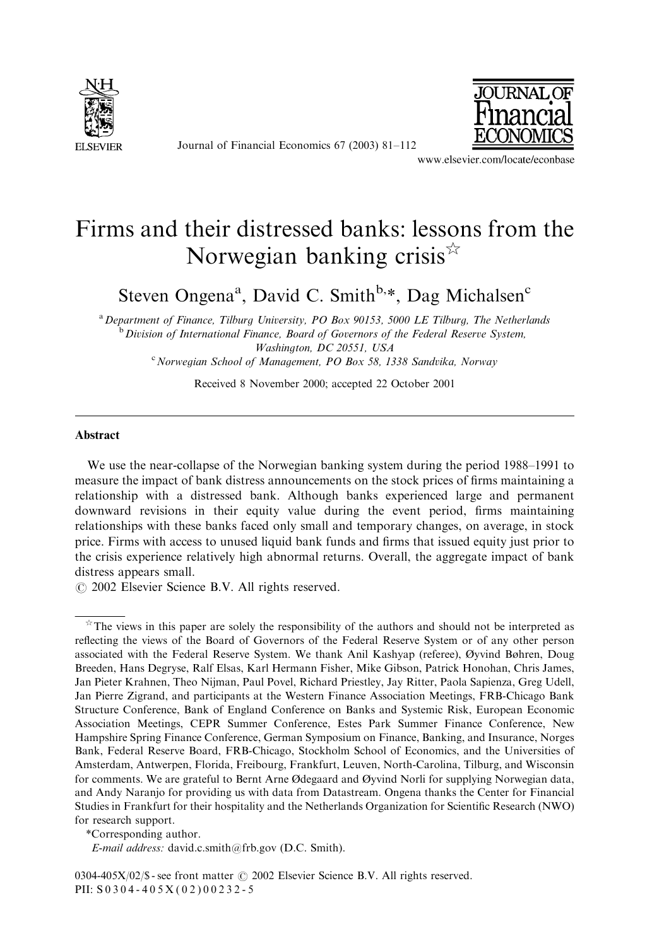

Journal of Financial Economics 67 (2003) 81–112



www.elsevier.com/locate/econbase

# Firms and their distressed banks: lessons from the Norwegian banking crisis $\overrightarrow{x}$

Steven Ongena<sup>a</sup>, David C. Smith<sup>b,\*</sup>, Dag Michalsen<sup>c</sup>

 $a$  Department of Finance, Tilburg University, PO Box 90153, 5000 LE Tilburg, The Netherlands <sup>b</sup> Division of International Finance, Board of Governors of the Federal Reserve System, Washington, DC 20551, USA <sup>c</sup> Norwegian School of Management, PO Box 58, 1338 Sandvika, Norway

Received 8 November 2000; accepted 22 October 2001

# Abstract

We use the near-collapse of the Norwegian banking system during the period 1988–1991 to measure the impact of bank distress announcements on the stock prices of firms maintaining a relationship with a distressed bank. Although banks experienced large and permanent downward revisions in their equity value during the event period, firms maintaining relationships with these banks faced only small and temporary changes, on average, in stock price. Firms with access to unused liquid bank funds and firms that issued equity just prior to the crisis experience relatively high abnormal returns. Overall, the aggregate impact of bank distress appears small.

 $Q$  2002 Elsevier Science B.V. All rights reserved.

\*Corresponding author.

E-mail address: david.c.smith@frb.gov (D.C. Smith).

 $\hat{\tau}$  The views in this paper are solely the responsibility of the authors and should not be interpreted as reflecting the views of the Board of Governors of the Federal Reserve System or of any other person associated with the Federal Reserve System. We thank Anil Kashyap (referee), Øyvind Bøhren, Doug Breeden, Hans Degryse, Ralf Elsas, Karl Hermann Fisher, Mike Gibson, Patrick Honohan, Chris James, Jan Pieter Krahnen, Theo Nijman, Paul Povel, Richard Priestley, Jay Ritter, Paola Sapienza, Greg Udell, Jan Pierre Zigrand, and participants at the Western Finance Association Meetings, FRB-Chicago Bank Structure Conference, Bank of England Conference on Banks and Systemic Risk, European Economic Association Meetings, CEPR Summer Conference, Estes Park Summer Finance Conference, New Hampshire Spring Finance Conference, German Symposium on Finance, Banking, and Insurance, Norges Bank, Federal Reserve Board, FRB-Chicago, Stockholm School of Economics, and the Universities of Amsterdam, Antwerpen, Florida, Freibourg, Frankfurt, Leuven, North-Carolina, Tilburg, and Wisconsin for comments. We are grateful to Bernt Arne Ødegaard and Øyvind Norli for supplying Norwegian data, and Andy Naranjo for providing us with data from Datastream. Ongena thanks the Center for Financial Studies in Frankfurt for their hospitality and the Netherlands Organization for Scientific Research (NWO) for research support.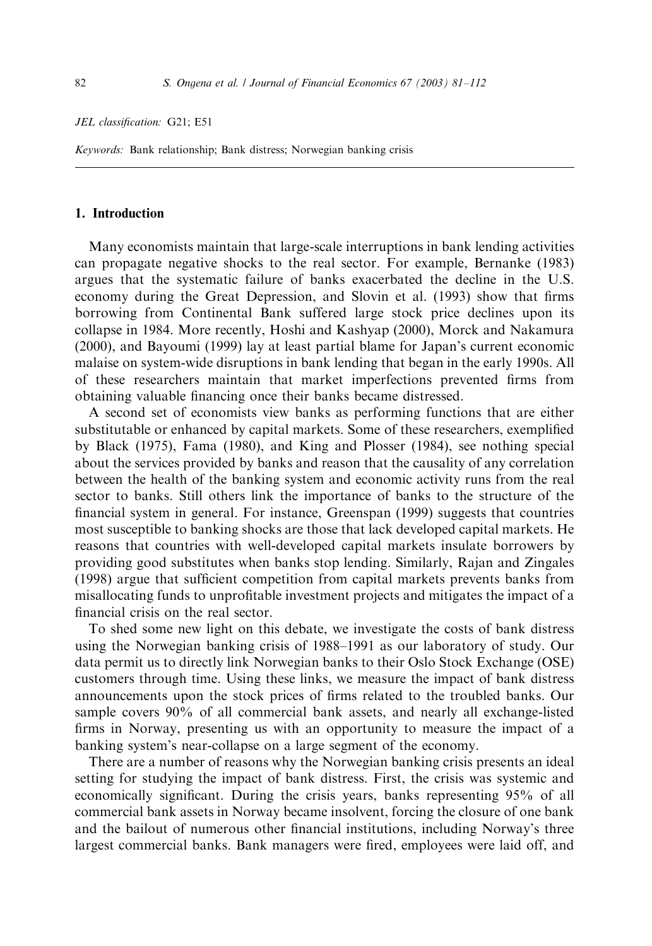# JEL classification: G21; E51

Keywords: Bank relationship; Bank distress; Norwegian banking crisis

## 1. Introduction

Many economists maintain that large-scale interruptions in bank lending activities can propagate negative shocks to the real sector. For example, Bernanke (1983) argues that the systematic failure of banks exacerbated the decline in the U.S. economy during the Great Depression, and Slovin et al. (1993) show that firms borrowing from Continental Bank suffered large stock price declines upon its collapse in 1984. More recently, Hoshi and Kashyap (2000), Morck and Nakamura (2000), and Bayoumi (1999) lay at least partial blame for Japan's current economic malaise on system-wide disruptions in bank lending that began in the early 1990s. All of these researchers maintain that market imperfections prevented firms from obtaining valuable financing once their banks became distressed.

A second set of economists view banks as performing functions that are either substitutable or enhanced by capital markets. Some of these researchers, exemplified by Black (1975), Fama (1980), and King and Plosser (1984), see nothing special about the services provided by banks and reason that the causality of any correlation between the health of the banking system and economic activity runs from the real sector to banks. Still others link the importance of banks to the structure of the financial system in general. For instance, Greenspan (1999) suggests that countries most susceptible to banking shocks are those that lack developed capital markets. He reasons that countries with well-developed capital markets insulate borrowers by providing good substitutes when banks stop lending. Similarly, Rajan and Zingales (1998) argue that sufficient competition from capital markets prevents banks from misallocating funds to unprofitable investment projects and mitigates the impact of a financial crisis on the real sector.

To shed some new light on this debate, we investigate the costs of bank distress using the Norwegian banking crisis of 1988–1991 as our laboratory of study. Our data permit us to directly link Norwegian banks to their Oslo Stock Exchange (OSE) customers through time. Using these links, we measure the impact of bank distress announcements upon the stock prices of firms related to the troubled banks. Our sample covers 90% of all commercial bank assets, and nearly all exchange-listed firms in Norway, presenting us with an opportunity to measure the impact of a banking system's near-collapse on a large segment of the economy.

There are a number of reasons why the Norwegian banking crisis presents an ideal setting for studying the impact of bank distress. First, the crisis was systemic and economically significant. During the crisis years, banks representing 95% of all commercial bank assets in Norway became insolvent, forcing the closure of one bank and the bailout of numerous other financial institutions, including Norway's three largest commercial banks. Bank managers were fired, employees were laid off, and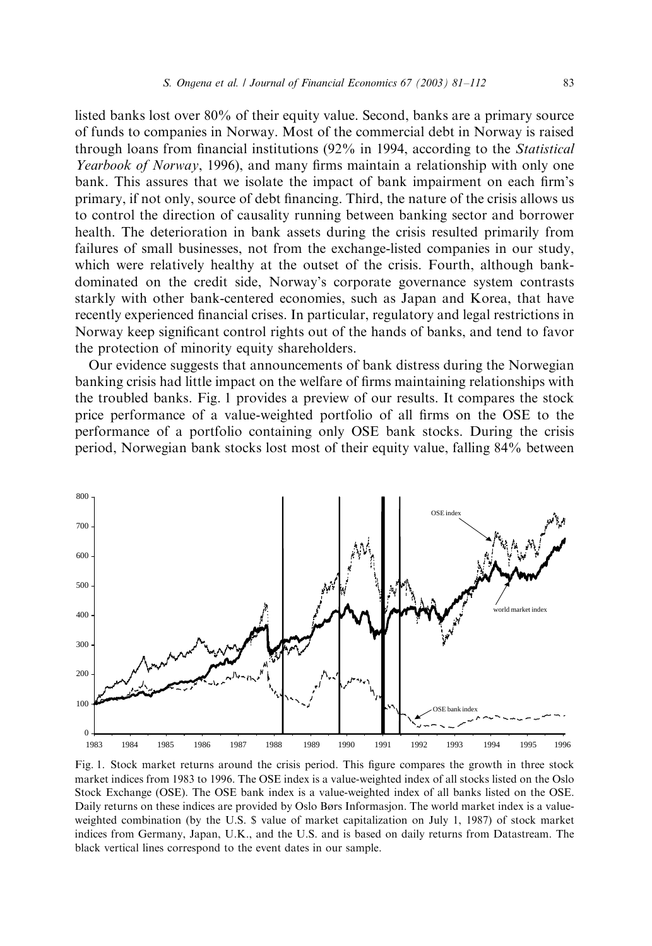listed banks lost over 80% of their equity value. Second, banks are a primary source of funds to companies in Norway. Most of the commercial debt in Norway is raised through loans from financial institutions (92% in 1994, according to the Statistical Yearbook of Norway, 1996), and many firms maintain a relationship with only one bank. This assures that we isolate the impact of bank impairment on each firm's primary, if not only, source of debt financing. Third, the nature of the crisis allows us to control the direction of causality running between banking sector and borrower health. The deterioration in bank assets during the crisis resulted primarily from failures of small businesses, not from the exchange-listed companies in our study, which were relatively healthy at the outset of the crisis. Fourth, although bankdominated on the credit side, Norway's corporate governance system contrasts starkly with other bank-centered economies, such as Japan and Korea, that have recently experienced financial crises. In particular, regulatory and legal restrictions in Norway keep significant control rights out of the hands of banks, and tend to favor the protection of minority equity shareholders.

Our evidence suggests that announcements of bank distress during the Norwegian banking crisis had little impact on the welfare of firms maintaining relationships with the troubled banks. Fig. 1 provides a preview of our results. It compares the stock price performance of a value-weighted portfolio of all firms on the OSE to the performance of a portfolio containing only OSE bank stocks. During the crisis period, Norwegian bank stocks lost most of their equity value, falling 84% between



Fig. 1. Stock market returns around the crisis period. This figure compares the growth in three stock market indices from 1983 to 1996. The OSE index is a value-weighted index of all stocks listed on the Oslo Stock Exchange (OSE). The OSE bank index is a value-weighted index of all banks listed on the OSE. Daily returns on these indices are provided by Oslo Børs Informasjon. The world market index is a valueweighted combination (by the U.S. \$ value of market capitalization on July 1, 1987) of stock market indices from Germany, Japan, U.K., and the U.S. and is based on daily returns from Datastream. The black vertical lines correspond to the event dates in our sample.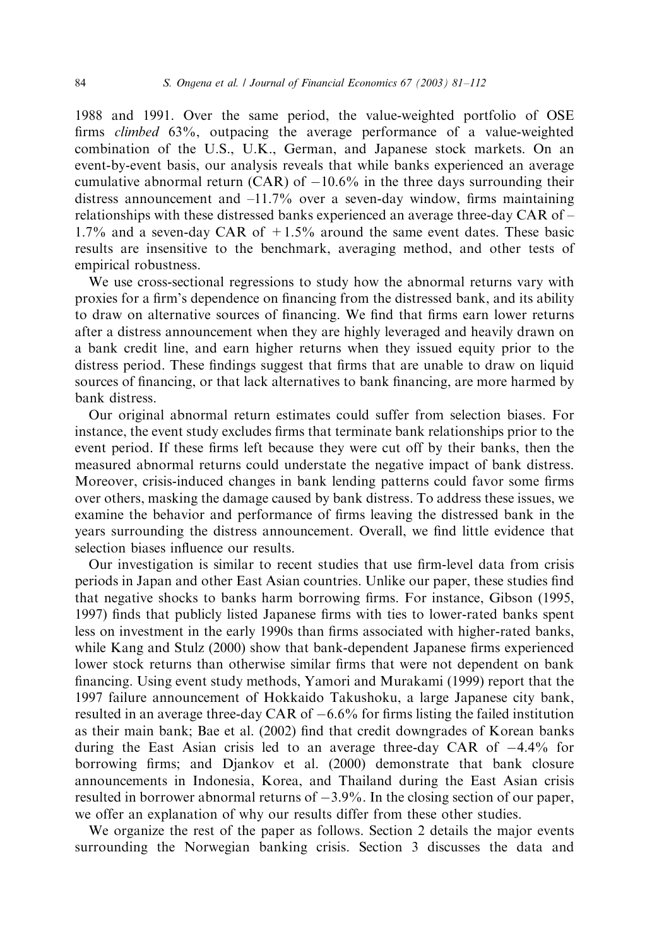1988 and 1991. Over the same period, the value-weighted portfolio of OSE firms climbed 63%, outpacing the average performance of a value-weighted combination of the U.S., U.K., German, and Japanese stock markets. On an event-by-event basis, our analysis reveals that while banks experienced an average cumulative abnormal return (CAR) of  $-10.6\%$  in the three days surrounding their distress announcement and –11.7% over a seven-day window, firms maintaining relationships with these distressed banks experienced an average three-day CAR of – 1.7% and a seven-day CAR of  $+1.5%$  around the same event dates. These basic results are insensitive to the benchmark, averaging method, and other tests of empirical robustness.

We use cross-sectional regressions to study how the abnormal returns vary with proxies for a firm's dependence on financing from the distressed bank, and its ability to draw on alternative sources of financing. We find that firms earn lower returns after a distress announcement when they are highly leveraged and heavily drawn on a bank credit line, and earn higher returns when they issued equity prior to the distress period. These findings suggest that firms that are unable to draw on liquid sources of financing, or that lack alternatives to bank financing, are more harmed by bank distress.

Our original abnormal return estimates could suffer from selection biases. For instance, the event study excludes firms that terminate bank relationships prior to the event period. If these firms left because they were cut off by their banks, then the measured abnormal returns could understate the negative impact of bank distress. Moreover, crisis-induced changes in bank lending patterns could favor some firms over others, masking the damage caused by bank distress. To address these issues, we examine the behavior and performance of firms leaving the distressed bank in the years surrounding the distress announcement. Overall, we find little evidence that selection biases influence our results.

Our investigation is similar to recent studies that use firm-level data from crisis periods in Japan and other East Asian countries. Unlike our paper, these studies find that negative shocks to banks harm borrowing firms. For instance, Gibson (1995, 1997) finds that publicly listed Japanese firms with ties to lower-rated banks spent less on investment in the early 1990s than firms associated with higher-rated banks, while Kang and Stulz (2000) show that bank-dependent Japanese firms experienced lower stock returns than otherwise similar firms that were not dependent on bank financing. Using event study methods, Yamori and Murakami (1999) report that the 1997 failure announcement of Hokkaido Takushoku, a large Japanese city bank, resulted in an average three-day CAR of  $-6.6\%$  for firms listing the failed institution as their main bank; Bae et al. (2002) find that credit downgrades of Korean banks during the East Asian crisis led to an average three-day CAR of  $-4.4\%$  for borrowing firms; and Djankov et al. (2000) demonstrate that bank closure announcements in Indonesia, Korea, and Thailand during the East Asian crisis resulted in borrower abnormal returns of  $-3.9\%$ . In the closing section of our paper, we offer an explanation of why our results differ from these other studies.

We organize the rest of the paper as follows. Section 2 details the major events surrounding the Norwegian banking crisis. Section 3 discusses the data and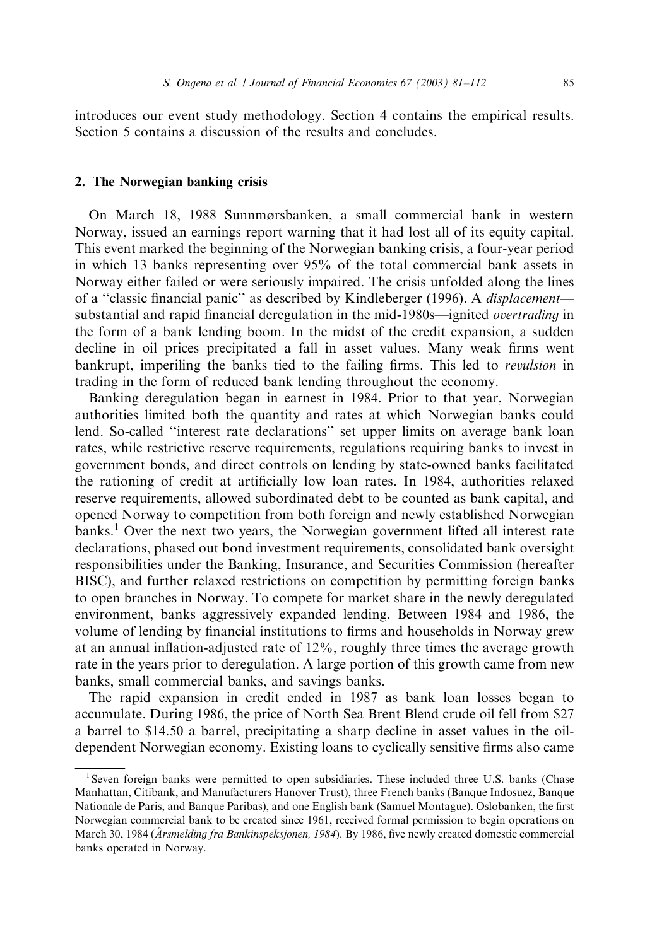introduces our event study methodology. Section 4 contains the empirical results. Section 5 contains a discussion of the results and concludes.

# 2. The Norwegian banking crisis

On March 18, 1988 Sunnmrsbanken, a small commercial bank in western Norway, issued an earnings report warning that it had lost all of its equity capital. This event marked the beginning of the Norwegian banking crisis, a four-year period in which 13 banks representing over 95% of the total commercial bank assets in Norway either failed or were seriously impaired. The crisis unfolded along the lines of a ''classic financial panic'' as described by Kindleberger (1996). A displacement substantial and rapid financial deregulation in the mid-1980s—ignited overtrading in the form of a bank lending boom. In the midst of the credit expansion, a sudden decline in oil prices precipitated a fall in asset values. Many weak firms went bankrupt, imperiling the banks tied to the failing firms. This led to revulsion in trading in the form of reduced bank lending throughout the economy.

Banking deregulation began in earnest in 1984. Prior to that year, Norwegian authorities limited both the quantity and rates at which Norwegian banks could lend. So-called ''interest rate declarations'' set upper limits on average bank loan rates, while restrictive reserve requirements, regulations requiring banks to invest in government bonds, and direct controls on lending by state-owned banks facilitated the rationing of credit at artificially low loan rates. In 1984, authorities relaxed reserve requirements, allowed subordinated debt to be counted as bank capital, and opened Norway to competition from both foreign and newly established Norwegian  $banks<sup>1</sup>$  Over the next two years, the Norwegian government lifted all interest rate declarations, phased out bond investment requirements, consolidated bank oversight responsibilities under the Banking, Insurance, and Securities Commission (hereafter BISC), and further relaxed restrictions on competition by permitting foreign banks to open branches in Norway. To compete for market share in the newly deregulated environment, banks aggressively expanded lending. Between 1984 and 1986, the volume of lending by financial institutions to firms and households in Norway grew at an annual inflation-adjusted rate of 12%, roughly three times the average growth rate in the years prior to deregulation. A large portion of this growth came from new banks, small commercial banks, and savings banks.

The rapid expansion in credit ended in 1987 as bank loan losses began to accumulate. During 1986, the price of North Sea Brent Blend crude oil fell from \$27 a barrel to \$14.50 a barrel, precipitating a sharp decline in asset values in the oildependent Norwegian economy. Existing loans to cyclically sensitive firms also came

<sup>&</sup>lt;sup>1</sup> Seven foreign banks were permitted to open subsidiaries. These included three U.S. banks (Chase Manhattan, Citibank, and Manufacturers Hanover Trust), three French banks (Banque Indosuez, Banque Nationale de Paris, and Banque Paribas), and one English bank (Samuel Montague). Oslobanken, the first Norwegian commercial bank to be created since 1961, received formal permission to begin operations on March 30, 1984 ( $Årsmelding fra Bankinspeksjonen, 1984$ ). By 1986, five newly created domestic commercial banks operated in Norway.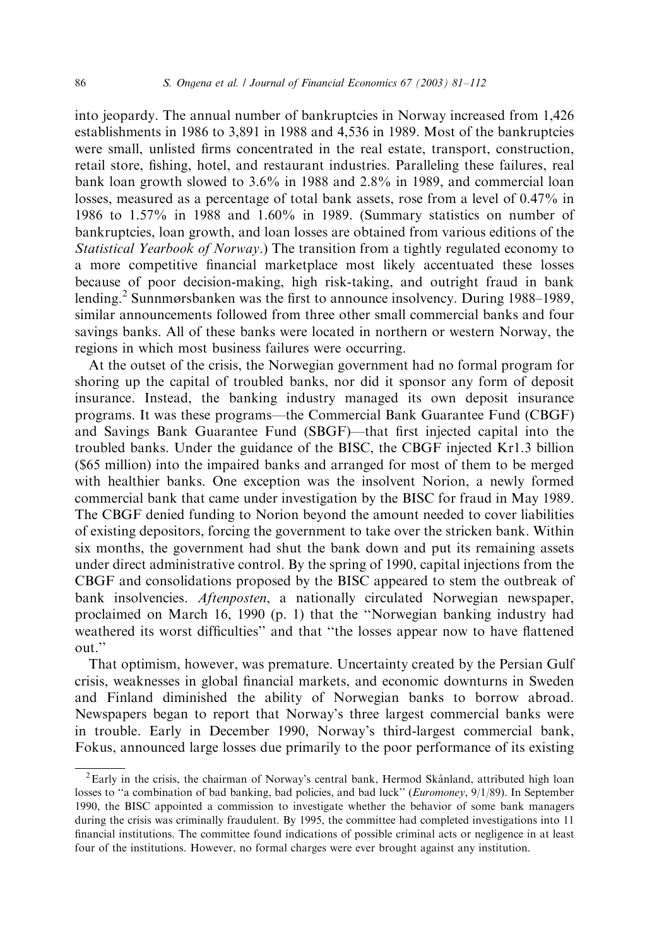into jeopardy. The annual number of bankruptcies in Norway increased from 1,426 establishments in 1986 to 3,891 in 1988 and 4,536 in 1989. Most of the bankruptcies were small, unlisted firms concentrated in the real estate, transport, construction, retail store, fishing, hotel, and restaurant industries. Paralleling these failures, real bank loan growth slowed to 3.6% in 1988 and 2.8% in 1989, and commercial loan losses, measured as a percentage of total bank assets, rose from a level of 0.47% in 1986 to 1.57% in 1988 and 1.60% in 1989. (Summary statistics on number of bankruptcies, loan growth, and loan losses are obtained from various editions of the Statistical Yearbook of Norway.) The transition from a tightly regulated economy to a more competitive financial marketplace most likely accentuated these losses because of poor decision-making, high risk-taking, and outright fraud in bank lending.<sup>2</sup> Sunnmørsbanken was the first to announce insolvency. During 1988–1989, similar announcements followed from three other small commercial banks and four savings banks. All of these banks were located in northern or western Norway, the regions in which most business failures were occurring.

At the outset of the crisis, the Norwegian government had no formal program for shoring up the capital of troubled banks, nor did it sponsor any form of deposit insurance. Instead, the banking industry managed its own deposit insurance programs. It was these programs—the Commercial Bank Guarantee Fund (CBGF) and Savings Bank Guarantee Fund (SBGF)—that first injected capital into the troubled banks. Under the guidance of the BISC, the CBGF injected Kr1.3 billion (\$65 million) into the impaired banks and arranged for most of them to be merged with healthier banks. One exception was the insolvent Norion, a newly formed commercial bank that came under investigation by the BISC for fraud in May 1989. The CBGF denied funding to Norion beyond the amount needed to cover liabilities of existing depositors, forcing the government to take over the stricken bank. Within six months, the government had shut the bank down and put its remaining assets under direct administrative control. By the spring of 1990, capital injections from the CBGF and consolidations proposed by the BISC appeared to stem the outbreak of bank insolvencies. Aftenposten, a nationally circulated Norwegian newspaper, proclaimed on March 16, 1990 (p. 1) that the ''Norwegian banking industry had weathered its worst difficulties'' and that ''the losses appear now to have flattened out.''

That optimism, however, was premature. Uncertainty created by the Persian Gulf crisis, weaknesses in global financial markets, and economic downturns in Sweden and Finland diminished the ability of Norwegian banks to borrow abroad. Newspapers began to report that Norway's three largest commercial banks were in trouble. Early in December 1990, Norway's third-largest commercial bank, Fokus, announced large losses due primarily to the poor performance of its existing

 ${}^{2}$ Early in the crisis, the chairman of Norway's central bank, Hermod Skånland, attributed high loan losses to "a combination of bad banking, bad policies, and bad luck" (Euromoney, 9/1/89). In September 1990, the BISC appointed a commission to investigate whether the behavior of some bank managers during the crisis was criminally fraudulent. By 1995, the committee had completed investigations into 11 financial institutions. The committee found indications of possible criminal acts or negligence in at least four of the institutions. However, no formal charges were ever brought against any institution.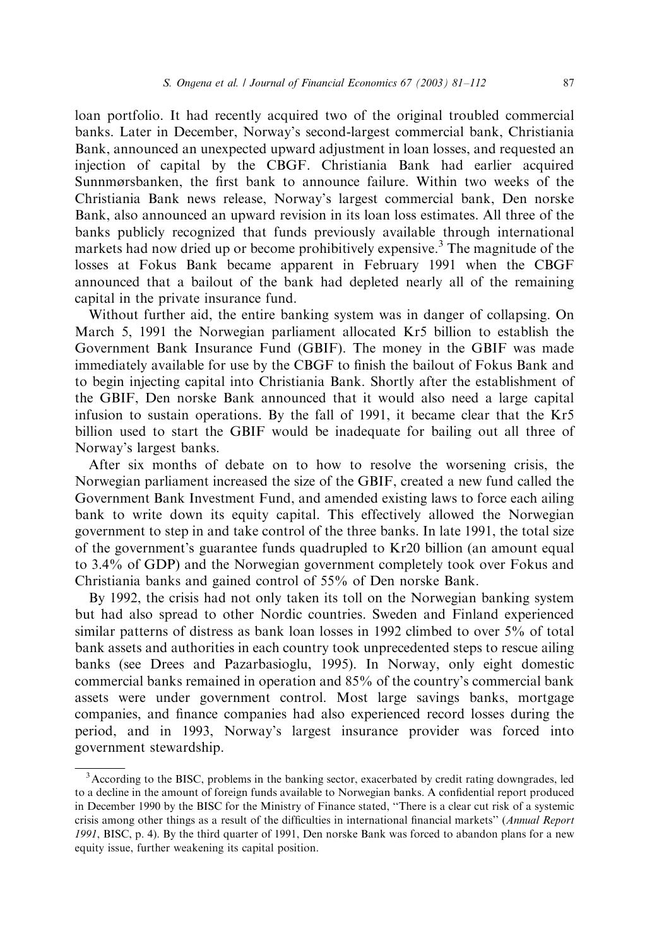loan portfolio. It had recently acquired two of the original troubled commercial banks. Later in December, Norway's second-largest commercial bank, Christiania Bank, announced an unexpected upward adjustment in loan losses, and requested an injection of capital by the CBGF. Christiania Bank had earlier acquired Sunnmørsbanken, the first bank to announce failure. Within two weeks of the Christiania Bank news release, Norway's largest commercial bank, Den norske Bank, also announced an upward revision in its loan loss estimates. All three of the banks publicly recognized that funds previously available through international markets had now dried up or become prohibitively expensive.<sup>3</sup> The magnitude of the losses at Fokus Bank became apparent in February 1991 when the CBGF announced that a bailout of the bank had depleted nearly all of the remaining capital in the private insurance fund.

Without further aid, the entire banking system was in danger of collapsing. On March 5, 1991 the Norwegian parliament allocated Kr5 billion to establish the Government Bank Insurance Fund (GBIF). The money in the GBIF was made immediately available for use by the CBGF to finish the bailout of Fokus Bank and to begin injecting capital into Christiania Bank. Shortly after the establishment of the GBIF, Den norske Bank announced that it would also need a large capital infusion to sustain operations. By the fall of 1991, it became clear that the Kr5 billion used to start the GBIF would be inadequate for bailing out all three of Norway's largest banks.

After six months of debate on to how to resolve the worsening crisis, the Norwegian parliament increased the size of the GBIF, created a new fund called the Government Bank Investment Fund, and amended existing laws to force each ailing bank to write down its equity capital. This effectively allowed the Norwegian government to step in and take control of the three banks. In late 1991, the total size of the government's guarantee funds quadrupled to Kr20 billion (an amount equal to 3.4% of GDP) and the Norwegian government completely took over Fokus and Christiania banks and gained control of 55% of Den norske Bank.

By 1992, the crisis had not only taken its toll on the Norwegian banking system but had also spread to other Nordic countries. Sweden and Finland experienced similar patterns of distress as bank loan losses in 1992 climbed to over 5% of total bank assets and authorities in each country took unprecedented steps to rescue ailing banks (see Drees and Pazarbasioglu, 1995). In Norway, only eight domestic commercial banks remained in operation and 85% of the country's commercial bank assets were under government control. Most large savings banks, mortgage companies, and finance companies had also experienced record losses during the period, and in 1993, Norway's largest insurance provider was forced into government stewardship.

<sup>&</sup>lt;sup>3</sup> According to the BISC, problems in the banking sector, exacerbated by credit rating downgrades, led to a decline in the amount of foreign funds available to Norwegian banks. A confidential report produced in December 1990 by the BISC for the Ministry of Finance stated, ''There is a clear cut risk of a systemic crisis among other things as a result of the difficulties in international financial markets'' (Annual Report 1991, BISC, p. 4). By the third quarter of 1991, Den norske Bank was forced to abandon plans for a new equity issue, further weakening its capital position.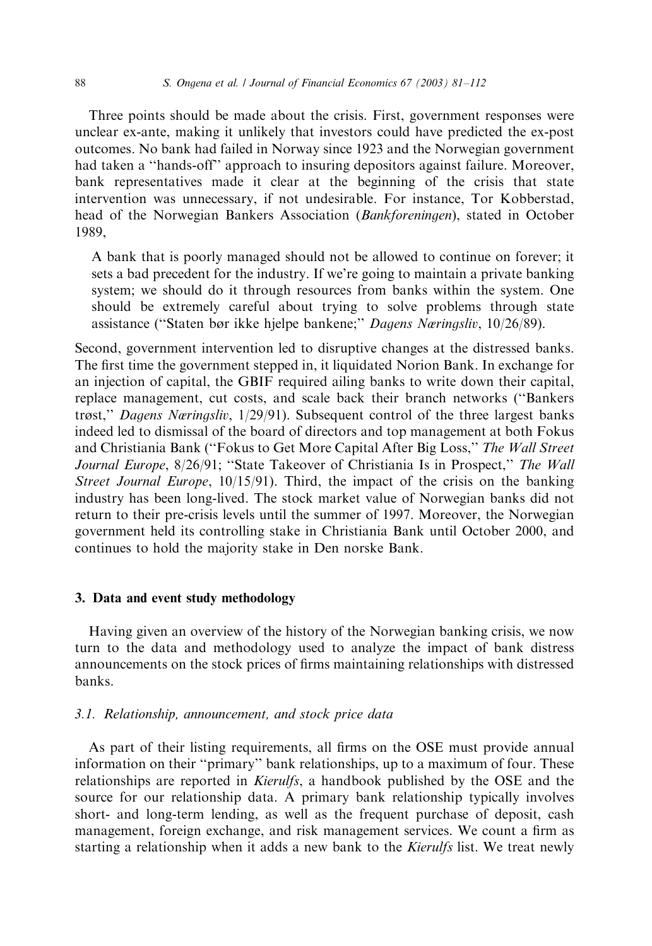Three points should be made about the crisis. First, government responses were unclear ex-ante, making it unlikely that investors could have predicted the ex-post outcomes. No bank had failed in Norway since 1923 and the Norwegian government had taken a ''hands-off'' approach to insuring depositors against failure. Moreover, bank representatives made it clear at the beginning of the crisis that state intervention was unnecessary, if not undesirable. For instance, Tor Kobberstad, head of the Norwegian Bankers Association (Bankforeningen), stated in October 1989,

A bank that is poorly managed should not be allowed to continue on forever; it sets a bad precedent for the industry. If we're going to maintain a private banking system; we should do it through resources from banks within the system. One should be extremely careful about trying to solve problems through state assistance ("Staten bør ikke hjelpe bankene;" *Dagens Næringsliv*, 10/26/89).

Second, government intervention led to disruptive changes at the distressed banks. The first time the government stepped in, it liquidated Norion Bank. In exchange for an injection of capital, the GBIF required ailing banks to write down their capital, replace management, cut costs, and scale back their branch networks (''Bankers trøst," Dagens Næringsliv, 1/29/91). Subsequent control of the three largest banks indeed led to dismissal of the board of directors and top management at both Fokus and Christiania Bank (''Fokus to Get More Capital After Big Loss,'' The Wall Street Journal Europe, 8/26/91; ''State Takeover of Christiania Is in Prospect,'' The Wall Street Journal Europe, 10/15/91). Third, the impact of the crisis on the banking industry has been long-lived. The stock market value of Norwegian banks did not return to their pre-crisis levels until the summer of 1997. Moreover, the Norwegian government held its controlling stake in Christiania Bank until October 2000, and continues to hold the majority stake in Den norske Bank.

## 3. Data and event study methodology

Having given an overview of the history of the Norwegian banking crisis, we now turn to the data and methodology used to analyze the impact of bank distress announcements on the stock prices of firms maintaining relationships with distressed banks.

# 3.1. Relationship, announcement, and stock price data

As part of their listing requirements, all firms on the OSE must provide annual information on their ''primary'' bank relationships, up to a maximum of four. These relationships are reported in Kierulfs, a handbook published by the OSE and the source for our relationship data. A primary bank relationship typically involves short- and long-term lending, as well as the frequent purchase of deposit, cash management, foreign exchange, and risk management services. We count a firm as starting a relationship when it adds a new bank to the *Kierulfs* list. We treat newly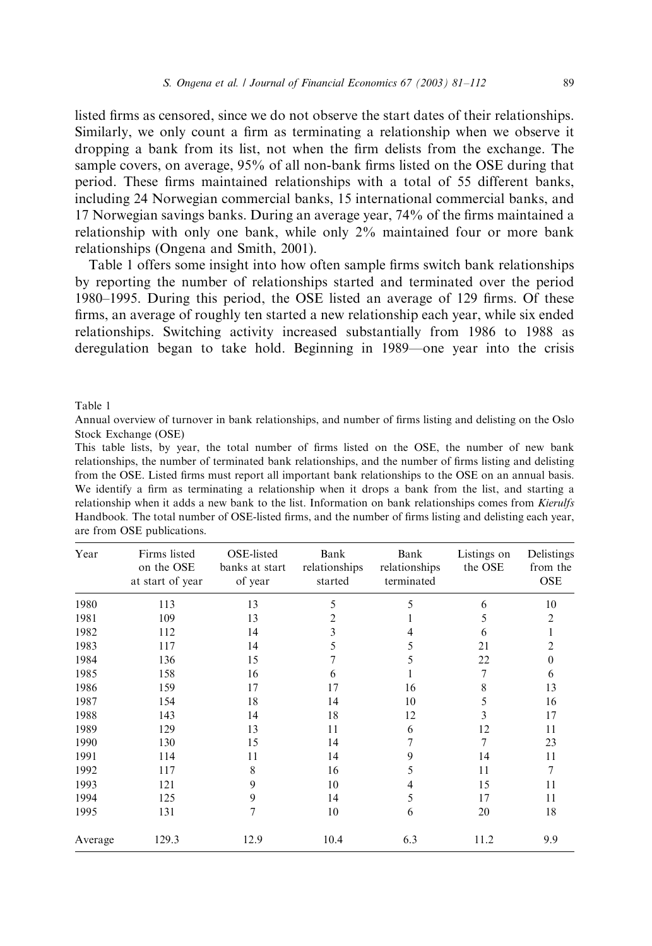listed firms as censored, since we do not observe the start dates of their relationships. Similarly, we only count a firm as terminating a relationship when we observe it dropping a bank from its list, not when the firm delists from the exchange. The sample covers, on average, 95% of all non-bank firms listed on the OSE during that period. These firms maintained relationships with a total of 55 different banks, including 24 Norwegian commercial banks, 15 international commercial banks, and 17 Norwegian savings banks. During an average year, 74% of the firms maintained a relationship with only one bank, while only 2% maintained four or more bank relationships (Ongena and Smith, 2001).

Table 1 offers some insight into how often sample firms switch bank relationships by reporting the number of relationships started and terminated over the period 1980–1995. During this period, the OSE listed an average of 129 firms. Of these firms, an average of roughly ten started a new relationship each year, while six ended relationships. Switching activity increased substantially from 1986 to 1988 as deregulation began to take hold. Beginning in 1989—one year into the crisis

Table 1

Annual overview of turnover in bank relationships, and number of firms listing and delisting on the Oslo Stock Exchange (OSE)

This table lists, by year, the total number of firms listed on the OSE, the number of new bank relationships, the number of terminated bank relationships, and the number of firms listing and delisting from the OSE. Listed firms must report all important bank relationships to the OSE on an annual basis. We identify a firm as terminating a relationship when it drops a bank from the list, and starting a relationship when it adds a new bank to the list. Information on bank relationships comes from Kierulfs Handbook. The total number of OSE-listed firms, and the number of firms listing and delisting each year, are from OSE publications.

| Year    | Firms listed<br>on the OSE<br>at start of year | OSE-listed<br>banks at start<br>of year | Bank<br>relationships<br>started | Bank<br>relationships<br>terminated | Listings on<br>the OSE | Delistings<br>from the<br><b>OSE</b> |
|---------|------------------------------------------------|-----------------------------------------|----------------------------------|-------------------------------------|------------------------|--------------------------------------|
| 1980    | 113                                            | 13                                      | 5                                | 5                                   | 6                      | 10                                   |
| 1981    | 109                                            | 13                                      | 2                                |                                     | 5                      | 2                                    |
| 1982    | 112                                            | 14                                      | 3                                |                                     | 6                      |                                      |
| 1983    | 117                                            | 14                                      | 5                                | 5                                   | 21                     | 2                                    |
| 1984    | 136                                            | 15                                      |                                  | 5                                   | 22                     | $\theta$                             |
| 1985    | 158                                            | 16                                      | 6                                |                                     | 7                      | 6                                    |
| 1986    | 159                                            | 17                                      | 17                               | 16                                  | 8                      | 13                                   |
| 1987    | 154                                            | 18                                      | 14                               | 10                                  | 5                      | 16                                   |
| 1988    | 143                                            | 14                                      | 18                               | 12                                  | 3                      | 17                                   |
| 1989    | 129                                            | 13                                      | 11                               | 6                                   | 12                     | 11                                   |
| 1990    | 130                                            | 15                                      | 14                               | 7                                   | 7                      | 23                                   |
| 1991    | 114                                            | 11                                      | 14                               | 9                                   | 14                     | 11                                   |
| 1992    | 117                                            | 8                                       | 16                               | 5                                   | 11                     | 7                                    |
| 1993    | 121                                            | 9                                       | 10                               | 4                                   | 15                     | 11                                   |
| 1994    | 125                                            | 9                                       | 14                               | 5                                   | 17                     | 11                                   |
| 1995    | 131                                            | 7                                       | 10                               | 6                                   | 20                     | 18                                   |
| Average | 129.3                                          | 12.9                                    | 10.4                             | 6.3                                 | 11.2                   | 9.9                                  |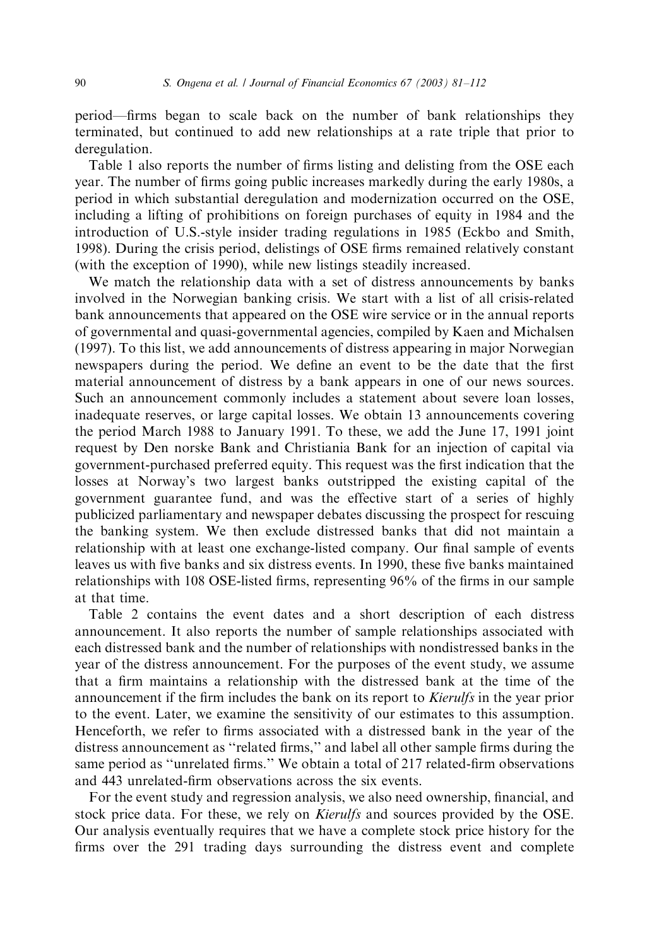period—firms began to scale back on the number of bank relationships they terminated, but continued to add new relationships at a rate triple that prior to deregulation.

Table 1 also reports the number of firms listing and delisting from the OSE each year. The number of firms going public increases markedly during the early 1980s, a period in which substantial deregulation and modernization occurred on the OSE, including a lifting of prohibitions on foreign purchases of equity in 1984 and the introduction of U.S.-style insider trading regulations in 1985 (Eckbo and Smith, 1998). During the crisis period, delistings of OSE firms remained relatively constant (with the exception of 1990), while new listings steadily increased.

We match the relationship data with a set of distress announcements by banks involved in the Norwegian banking crisis. We start with a list of all crisis-related bank announcements that appeared on the OSE wire service or in the annual reports of governmental and quasi-governmental agencies, compiled by Kaen and Michalsen (1997). To this list, we add announcements of distress appearing in major Norwegian newspapers during the period. We define an event to be the date that the first material announcement of distress by a bank appears in one of our news sources. Such an announcement commonly includes a statement about severe loan losses, inadequate reserves, or large capital losses. We obtain 13 announcements covering the period March 1988 to January 1991. To these, we add the June 17, 1991 joint request by Den norske Bank and Christiania Bank for an injection of capital via government-purchased preferred equity. This request was the first indication that the losses at Norway's two largest banks outstripped the existing capital of the government guarantee fund, and was the effective start of a series of highly publicized parliamentary and newspaper debates discussing the prospect for rescuing the banking system. We then exclude distressed banks that did not maintain a relationship with at least one exchange-listed company. Our final sample of events leaves us with five banks and six distress events. In 1990, these five banks maintained relationships with 108 OSE-listed firms, representing 96% of the firms in our sample at that time.

Table 2 contains the event dates and a short description of each distress announcement. It also reports the number of sample relationships associated with each distressed bank and the number of relationships with nondistressed banks in the year of the distress announcement. For the purposes of the event study, we assume that a firm maintains a relationship with the distressed bank at the time of the announcement if the firm includes the bank on its report to Kierulfs in the year prior to the event. Later, we examine the sensitivity of our estimates to this assumption. Henceforth, we refer to firms associated with a distressed bank in the year of the distress announcement as ''related firms,'' and label all other sample firms during the same period as ''unrelated firms.'' We obtain a total of 217 related-firm observations and 443 unrelated-firm observations across the six events.

For the event study and regression analysis, we also need ownership, financial, and stock price data. For these, we rely on *Kierulfs* and sources provided by the OSE. Our analysis eventually requires that we have a complete stock price history for the firms over the 291 trading days surrounding the distress event and complete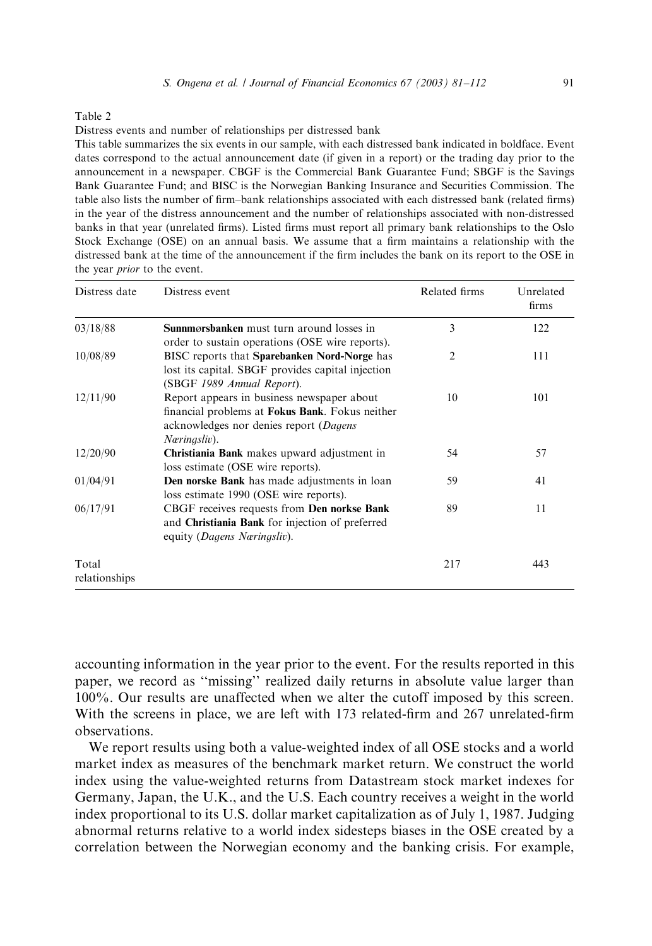Distress events and number of relationships per distressed bank

This table summarizes the six events in our sample, with each distressed bank indicated in boldface. Event dates correspond to the actual announcement date (if given in a report) or the trading day prior to the announcement in a newspaper. CBGF is the Commercial Bank Guarantee Fund; SBGF is the Savings Bank Guarantee Fund; and BISC is the Norwegian Banking Insurance and Securities Commission. The table also lists the number of firm–bank relationships associated with each distressed bank (related firms) in the year of the distress announcement and the number of relationships associated with non-distressed banks in that year (unrelated firms). Listed firms must report all primary bank relationships to the Oslo Stock Exchange (OSE) on an annual basis. We assume that a firm maintains a relationship with the distressed bank at the time of the announcement if the firm includes the bank on its report to the OSE in the year prior to the event.

| Distress date          | Distress event                                                                                                                                          | Related firms  | Unrelated<br>firms |
|------------------------|---------------------------------------------------------------------------------------------------------------------------------------------------------|----------------|--------------------|
| 03/18/88               | <b>Sunnmorsbanken</b> must turn around losses in<br>order to sustain operations (OSE wire reports).                                                     | 3              | 122                |
| 10/08/89               | BISC reports that Sparebanken Nord-Norge has<br>lost its capital. SBGF provides capital injection<br>(SBGF 1989 Annual Report).                         | $\overline{2}$ | 111                |
| 12/11/90               | Report appears in business newspaper about<br>financial problems at Fokus Bank. Fokus neither<br>acknowledges nor denies report (Dagens<br>Næringsliv). | 10             | 101                |
| 12/20/90               | Christiania Bank makes upward adjustment in<br>loss estimate (OSE wire reports).                                                                        | 54             | 57                 |
| 01/04/91               | Den norske Bank has made adjustments in loan<br>loss estimate 1990 (OSE wire reports).                                                                  | 59             | 41                 |
| 06/17/91               | CBGF receives requests from Den norkse Bank<br>and Christiania Bank for injection of preferred<br>equity ( <i>Dagens Næringsliv</i> ).                  | 89             | 11                 |
| Total<br>relationships |                                                                                                                                                         | 217            | 443                |

accounting information in the year prior to the event. For the results reported in this paper, we record as ''missing'' realized daily returns in absolute value larger than 100%. Our results are unaffected when we alter the cutoff imposed by this screen. With the screens in place, we are left with 173 related-firm and 267 unrelated-firm observations.

We report results using both a value-weighted index of all OSE stocks and a world market index as measures of the benchmark market return. We construct the world index using the value-weighted returns from Datastream stock market indexes for Germany, Japan, the U.K., and the U.S. Each country receives a weight in the world index proportional to its U.S. dollar market capitalization as of July 1, 1987. Judging abnormal returns relative to a world index sidesteps biases in the OSE created by a correlation between the Norwegian economy and the banking crisis. For example,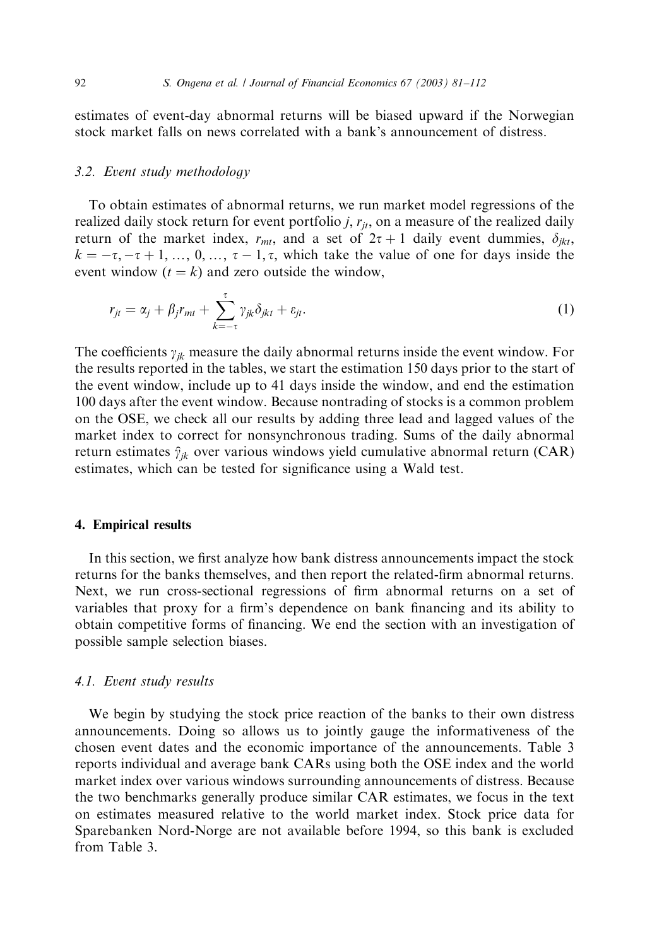estimates of event-day abnormal returns will be biased upward if the Norwegian stock market falls on news correlated with a bank's announcement of distress.

## 3.2. Event study methodology

To obtain estimates of abnormal returns, we run market model regressions of the realized daily stock return for event portfolio  $j$ ,  $r_{it}$ , on a measure of the realized daily return of the market index,  $r_{mt}$ , and a set of  $2\tau + 1$  daily event dummies,  $\delta_{ikt}$ ,  $k = -\tau, -\tau + 1, \ldots, 0, \ldots, \tau - 1, \tau$ , which take the value of one for days inside the event window  $(t = k)$  and zero outside the window,

$$
r_{jt} = \alpha_j + \beta_j r_{mt} + \sum_{k=-\tau}^{\tau} \gamma_{jk} \delta_{jkt} + \varepsilon_{jt}.
$$
 (1)

The coefficients  $\gamma_{ik}$  measure the daily abnormal returns inside the event window. For the results reported in the tables, we start the estimation 150 days prior to the start of the event window, include up to 41 days inside the window, and end the estimation 100 days after the event window. Because nontrading of stocks is a common problem on the OSE, we check all our results by adding three lead and lagged values of the market index to correct for nonsynchronous trading. Sums of the daily abnormal return estimates  $\hat{\gamma}_{jk}$  over various windows yield cumulative abnormal return (CAR) estimates, which can be tested for significance using a Wald test.

# 4. Empirical results

In this section, we first analyze how bank distress announcements impact the stock returns for the banks themselves, and then report the related-firm abnormal returns. Next, we run cross-sectional regressions of firm abnormal returns on a set of variables that proxy for a firm's dependence on bank financing and its ability to obtain competitive forms of financing. We end the section with an investigation of possible sample selection biases.

## 4.1. Event study results

We begin by studying the stock price reaction of the banks to their own distress announcements. Doing so allows us to jointly gauge the informativeness of the chosen event dates and the economic importance of the announcements. Table 3 reports individual and average bank CARs using both the OSE index and the world market index over various windows surrounding announcements of distress. Because the two benchmarks generally produce similar CAR estimates, we focus in the text on estimates measured relative to the world market index. Stock price data for Sparebanken Nord-Norge are not available before 1994, so this bank is excluded from Table 3.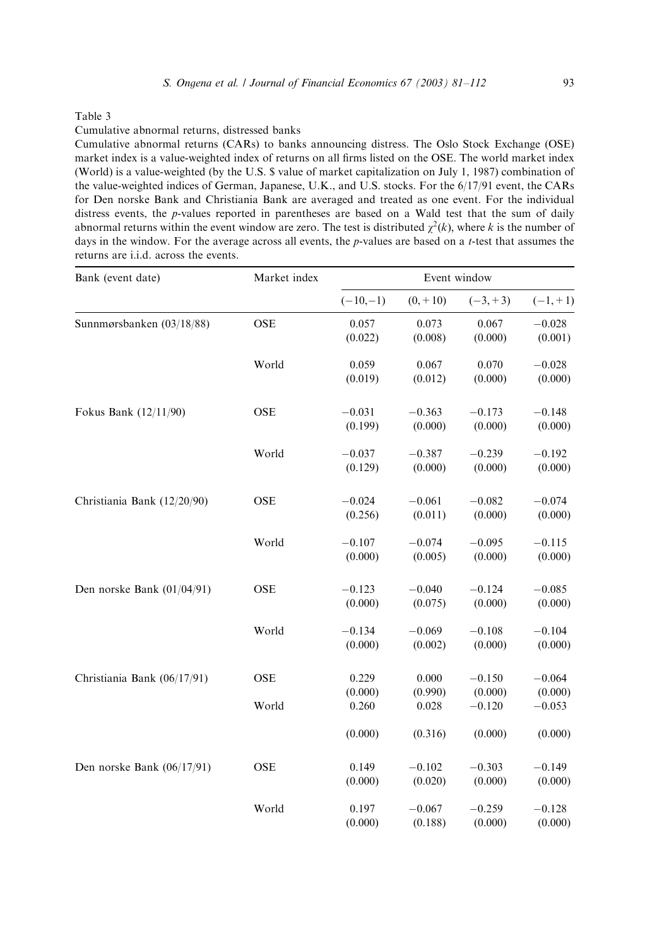Cumulative abnormal returns, distressed banks

Cumulative abnormal returns (CARs) to banks announcing distress. The Oslo Stock Exchange (OSE) market index is a value-weighted index of returns on all firms listed on the OSE. The world market index (World) is a value-weighted (by the U.S. \$ value of market capitalization on July 1, 1987) combination of the value-weighted indices of German, Japanese, U.K., and U.S. stocks. For the 6/17/91 event, the CARs for Den norske Bank and Christiania Bank are averaged and treated as one event. For the individual distress events, the p-values reported in parentheses are based on a Wald test that the sum of daily abnormal returns within the event window are zero. The test is distributed  $\chi^2(k)$ , where k is the number of days in the window. For the average across all events, the  $p$ -values are based on a  $t$ -test that assumes the returns are i.i.d. across the events.

| Bank (event date)            | Market index |                     |                     | Event window        |                     |
|------------------------------|--------------|---------------------|---------------------|---------------------|---------------------|
|                              |              | $(-10,-1)$          | $(0, +10)$          | $(-3, +3)$          | $(-1, +1)$          |
| Sunnmørsbanken (03/18/88)    | <b>OSE</b>   | 0.057<br>(0.022)    | 0.073<br>(0.008)    | 0.067<br>(0.000)    | $-0.028$<br>(0.001) |
|                              | World        | 0.059<br>(0.019)    | 0.067<br>(0.012)    | 0.070<br>(0.000)    | $-0.028$<br>(0.000) |
| Fokus Bank (12/11/90)        | <b>OSE</b>   | $-0.031$<br>(0.199) | $-0.363$<br>(0.000) | $-0.173$<br>(0.000) | $-0.148$<br>(0.000) |
|                              | World        | $-0.037$<br>(0.129) | $-0.387$<br>(0.000) | $-0.239$<br>(0.000) | $-0.192$<br>(0.000) |
| Christiania Bank (12/20/90)  | <b>OSE</b>   | $-0.024$<br>(0.256) | $-0.061$<br>(0.011) | $-0.082$<br>(0.000) | $-0.074$<br>(0.000) |
|                              | World        | $-0.107$<br>(0.000) | $-0.074$<br>(0.005) | $-0.095$<br>(0.000) | $-0.115$<br>(0.000) |
| Den norske Bank $(01/04/91)$ | <b>OSE</b>   | $-0.123$<br>(0.000) | $-0.040$<br>(0.075) | $-0.124$<br>(0.000) | $-0.085$<br>(0.000) |
|                              | World        | $-0.134$<br>(0.000) | $-0.069$<br>(0.002) | $-0.108$<br>(0.000) | $-0.104$<br>(0.000) |
| Christiania Bank (06/17/91)  | <b>OSE</b>   | 0.229<br>(0.000)    | 0.000<br>(0.990)    | $-0.150$<br>(0.000) | $-0.064$<br>(0.000) |
|                              | World        | 0.260<br>(0.000)    | 0.028<br>(0.316)    | $-0.120$<br>(0.000) | $-0.053$<br>(0.000) |
| Den norske Bank (06/17/91)   | <b>OSE</b>   | 0.149<br>(0.000)    | $-0.102$<br>(0.020) | $-0.303$<br>(0.000) | $-0.149$<br>(0.000) |
|                              | World        | 0.197<br>(0.000)    | $-0.067$<br>(0.188) | $-0.259$<br>(0.000) | $-0.128$<br>(0.000) |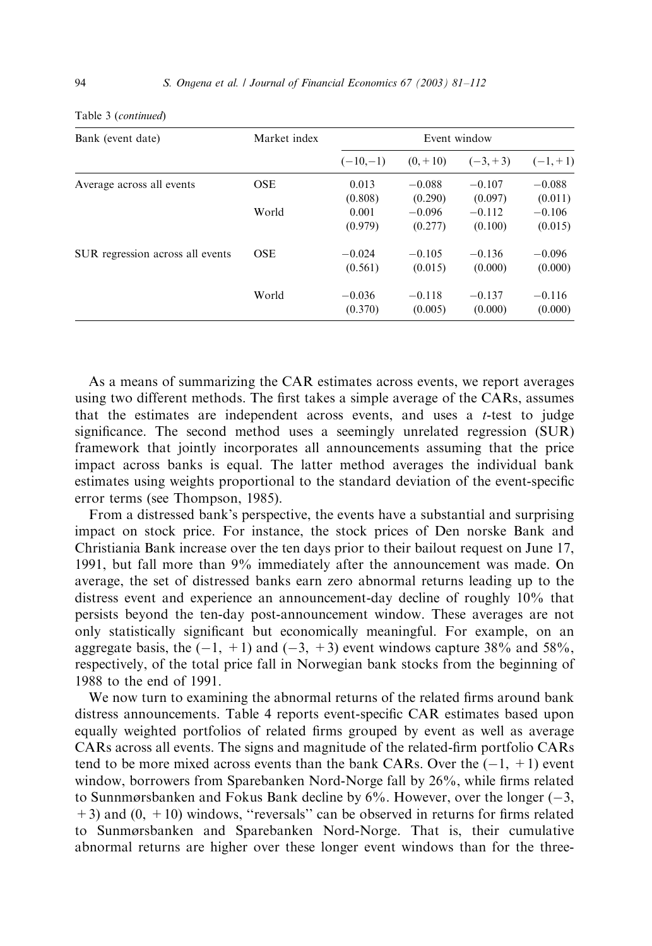| Bank (event date)                | Market index | Event window |            |            |            |  |
|----------------------------------|--------------|--------------|------------|------------|------------|--|
|                                  |              | $(-10,-1)$   | $(0, +10)$ | $(-3, +3)$ | $(-1, +1)$ |  |
| Average across all events        | <b>OSE</b>   | 0.013        | $-0.088$   | $-0.107$   | $-0.088$   |  |
|                                  |              | (0.808)      | (0.290)    | (0.097)    | (0.011)    |  |
|                                  | World        | 0.001        | $-0.096$   | $-0.112$   | $-0.106$   |  |
|                                  |              | (0.979)      | (0.277)    | (0.100)    | (0.015)    |  |
| SUR regression across all events | <b>OSE</b>   | $-0.024$     | $-0.105$   | $-0.136$   | $-0.096$   |  |
|                                  |              | (0.561)      | (0.015)    | (0.000)    | (0.000)    |  |
|                                  | World        | $-0.036$     | $-0.118$   | $-0.137$   | $-0.116$   |  |
|                                  |              | (0.370)      | (0.005)    | (0.000)    | (0.000)    |  |

Table 3 (continued)

As a means of summarizing the CAR estimates across events, we report averages using two different methods. The first takes a simple average of the CARs, assumes that the estimates are independent across events, and uses a  $t$ -test to judge significance. The second method uses a seemingly unrelated regression (SUR) framework that jointly incorporates all announcements assuming that the price impact across banks is equal. The latter method averages the individual bank estimates using weights proportional to the standard deviation of the event-specific error terms (see Thompson, 1985).

From a distressed bank's perspective, the events have a substantial and surprising impact on stock price. For instance, the stock prices of Den norske Bank and Christiania Bank increase over the ten days prior to their bailout request on June 17, 1991, but fall more than 9% immediately after the announcement was made. On average, the set of distressed banks earn zero abnormal returns leading up to the distress event and experience an announcement-day decline of roughly 10% that persists beyond the ten-day post-announcement window. These averages are not only statistically significant but economically meaningful. For example, on an aggregate basis, the  $(-1, +1)$  and  $(-3, +3)$  event windows capture 38% and 58%, respectively, of the total price fall in Norwegian bank stocks from the beginning of 1988 to the end of 1991.

We now turn to examining the abnormal returns of the related firms around bank distress announcements. Table 4 reports event-specific CAR estimates based upon equally weighted portfolios of related firms grouped by event as well as average CARs across all events. The signs and magnitude of the related-firm portfolio CARs tend to be more mixed across events than the bank CARs. Over the  $(-1, +1)$  event window, borrowers from Sparebanken Nord-Norge fall by 26%, while firms related to Sunnmørsbanken and Fokus Bank decline by  $6\%$ . However, over the longer  $(-3, 1)$  $+3$ ) and  $(0, +10)$  windows, "reversals" can be observed in returns for firms related to Sunmørsbanken and Sparebanken Nord-Norge. That is, their cumulative abnormal returns are higher over these longer event windows than for the three-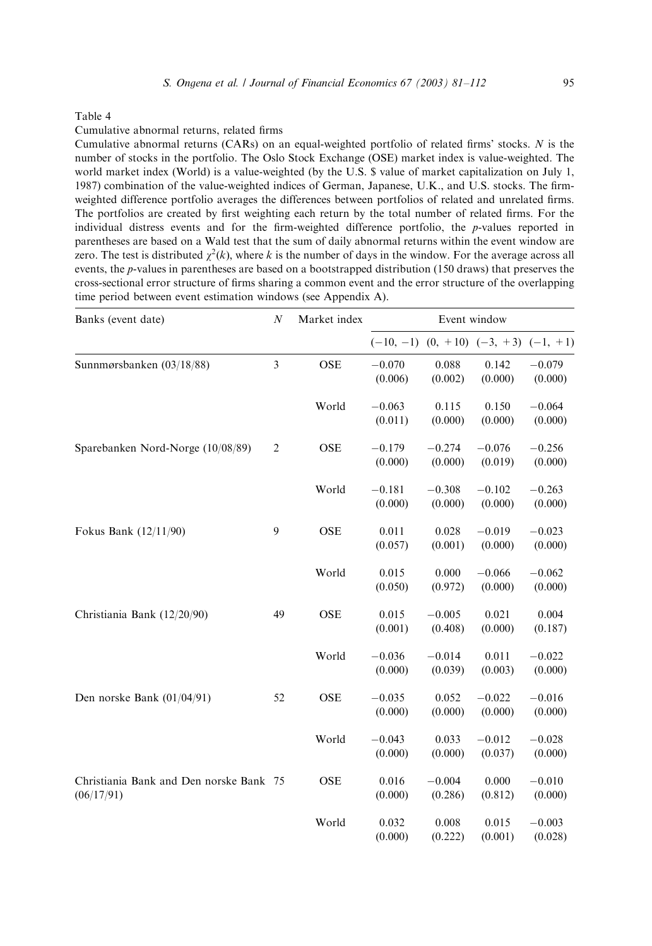## Cumulative abnormal returns, related firms

Cumulative abnormal returns  $(CARs)$  on an equal-weighted portfolio of related firms' stocks. N is the number of stocks in the portfolio. The Oslo Stock Exchange (OSE) market index is value-weighted. The world market index (World) is a value-weighted (by the U.S. \$ value of market capitalization on July 1, 1987) combination of the value-weighted indices of German, Japanese, U.K., and U.S. stocks. The firmweighted difference portfolio averages the differences between portfolios of related and unrelated firms. The portfolios are created by first weighting each return by the total number of related firms. For the individual distress events and for the firm-weighted difference portfolio, the  $p$ -values reported in parentheses are based on a Wald test that the sum of daily abnormal returns within the event window are zero. The test is distributed  $\chi^2(k)$ , where k is the number of days in the window. For the average across all events, the p-values in parentheses are based on a bootstrapped distribution (150 draws) that preserves the cross-sectional error structure of firms sharing a common event and the error structure of the overlapping time period between event estimation windows (see Appendix A).

| Banks (event date)                      | $\boldsymbol{N}$ | Market index | Event window                                 |          |          |          |
|-----------------------------------------|------------------|--------------|----------------------------------------------|----------|----------|----------|
|                                         |                  |              | $(-10, -1)$ $(0, +10)$ $(-3, +3)$ $(-1, +1)$ |          |          |          |
| Sunnmørsbanken (03/18/88)               | 3                | <b>OSE</b>   | $-0.070$                                     | 0.088    | 0.142    | $-0.079$ |
|                                         |                  |              | (0.006)                                      | (0.002)  | (0.000)  | (0.000)  |
|                                         |                  | World        | $-0.063$                                     | 0.115    | 0.150    | $-0.064$ |
|                                         |                  |              | (0.011)                                      | (0.000)  | (0.000)  | (0.000)  |
| Sparebanken Nord-Norge (10/08/89)       | $\overline{c}$   | <b>OSE</b>   | $-0.179$                                     | $-0.274$ | $-0.076$ | $-0.256$ |
|                                         |                  |              | (0.000)                                      | (0.000)  | (0.019)  | (0.000)  |
|                                         |                  | World        | $-0.181$                                     | $-0.308$ | $-0.102$ | $-0.263$ |
|                                         |                  |              | (0.000)                                      | (0.000)  | (0.000)  | (0.000)  |
| Fokus Bank (12/11/90)                   | 9                | <b>OSE</b>   | 0.011                                        | 0.028    | $-0.019$ | $-0.023$ |
|                                         |                  |              | (0.057)                                      | (0.001)  | (0.000)  | (0.000)  |
|                                         |                  | World        | 0.015                                        | 0.000    | $-0.066$ | $-0.062$ |
|                                         |                  |              | (0.050)                                      | (0.972)  | (0.000)  | (0.000)  |
| Christiania Bank (12/20/90)             | 49               | <b>OSE</b>   | 0.015                                        | $-0.005$ | 0.021    | 0.004    |
|                                         |                  |              | (0.001)                                      | (0.408)  | (0.000)  | (0.187)  |
|                                         |                  | World        | $-0.036$                                     | $-0.014$ | 0.011    | $-0.022$ |
|                                         |                  |              | (0.000)                                      | (0.039)  | (0.003)  | (0.000)  |
| Den norske Bank $(01/04/91)$            | 52               | <b>OSE</b>   | $-0.035$                                     | 0.052    | $-0.022$ | $-0.016$ |
|                                         |                  |              | (0.000)                                      | (0.000)  | (0.000)  | (0.000)  |
|                                         |                  | World        | $-0.043$                                     | 0.033    | $-0.012$ | $-0.028$ |
|                                         |                  |              | (0.000)                                      | (0.000)  | (0.037)  | (0.000)  |
| Christiania Bank and Den norske Bank 75 |                  | <b>OSE</b>   | 0.016                                        | $-0.004$ | 0.000    | $-0.010$ |
| (06/17/91)                              |                  |              | (0.000)                                      | (0.286)  | (0.812)  | (0.000)  |
|                                         |                  | World        | 0.032                                        | 0.008    | 0.015    | $-0.003$ |
|                                         |                  |              | (0.000)                                      | (0.222)  | (0.001)  | (0.028)  |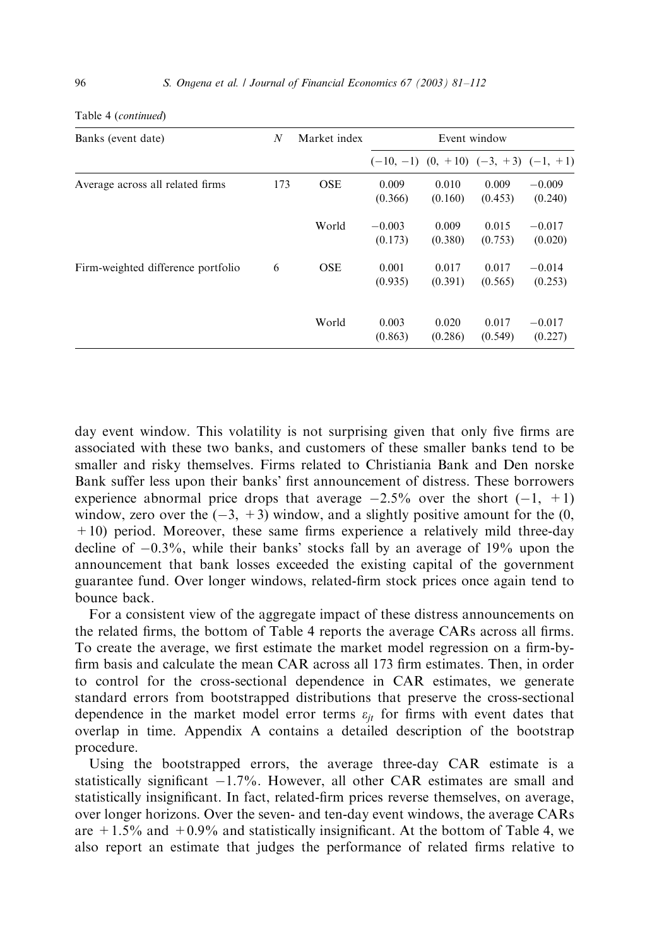| Banks (event date)                 | N   | Market index | Event window        |                  |                                              |                     |
|------------------------------------|-----|--------------|---------------------|------------------|----------------------------------------------|---------------------|
|                                    |     |              |                     |                  | $(-10, -1)$ $(0, +10)$ $(-3, +3)$ $(-1, +1)$ |                     |
| Average across all related firms   | 173 | <b>OSE</b>   | 0.009<br>(0.366)    | 0.010<br>(0.160) | 0.009<br>(0.453)                             | $-0.009$<br>(0.240) |
|                                    |     | World        | $-0.003$<br>(0.173) | 0.009<br>(0.380) | 0.015<br>(0.753)                             | $-0.017$<br>(0.020) |
| Firm-weighted difference portfolio | 6   | <b>OSE</b>   | 0.001<br>(0.935)    | 0.017<br>(0.391) | 0.017<br>(0.565)                             | $-0.014$<br>(0.253) |
|                                    |     | World        | 0.003<br>(0.863)    | 0.020<br>(0.286) | 0.017<br>(0.549)                             | $-0.017$<br>(0.227) |

Table 4 (continued)

day event window. This volatility is not surprising given that only five firms are associated with these two banks, and customers of these smaller banks tend to be smaller and risky themselves. Firms related to Christiania Bank and Den norske Bank suffer less upon their banks' first announcement of distress. These borrowers experience abnormal price drops that average  $-2.5\%$  over the short  $(-1, +1)$ window, zero over the  $(-3, +3)$  window, and a slightly positive amount for the  $(0,$ +10) period. Moreover, these same firms experience a relatively mild three-day decline of  $-0.3\%$ , while their banks' stocks fall by an average of 19% upon the announcement that bank losses exceeded the existing capital of the government guarantee fund. Over longer windows, related-firm stock prices once again tend to bounce back.

For a consistent view of the aggregate impact of these distress announcements on the related firms, the bottom of Table 4 reports the average CARs across all firms. To create the average, we first estimate the market model regression on a firm-byfirm basis and calculate the mean CAR across all 173 firm estimates. Then, in order to control for the cross-sectional dependence in CAR estimates, we generate standard errors from bootstrapped distributions that preserve the cross-sectional dependence in the market model error terms  $\varepsilon_{it}$  for firms with event dates that overlap in time. Appendix A contains a detailed description of the bootstrap procedure.

Using the bootstrapped errors, the average three-day CAR estimate is a statistically significant  $-1.7\%$ . However, all other CAR estimates are small and statistically insignificant. In fact, related-firm prices reverse themselves, on average, over longer horizons. Over the seven- and ten-day event windows, the average CARs are  $+1.5\%$  and  $+0.9\%$  and statistically insignificant. At the bottom of Table 4, we also report an estimate that judges the performance of related firms relative to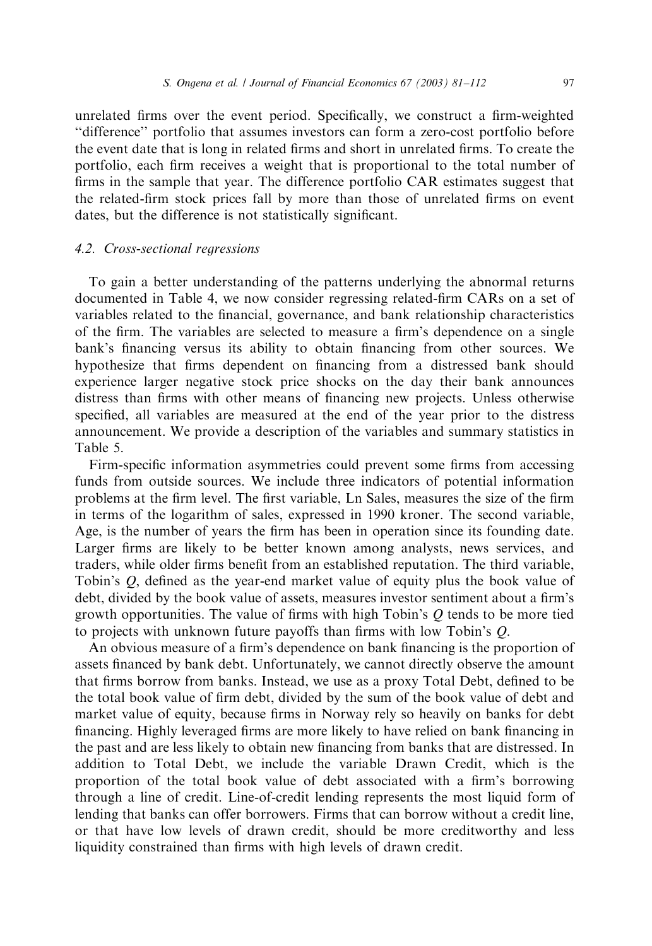unrelated firms over the event period. Specifically, we construct a firm-weighted ''difference'' portfolio that assumes investors can form a zero-cost portfolio before the event date that is long in related firms and short in unrelated firms. To create the portfolio, each firm receives a weight that is proportional to the total number of firms in the sample that year. The difference portfolio CAR estimates suggest that the related-firm stock prices fall by more than those of unrelated firms on event dates, but the difference is not statistically significant.

# 4.2. Cross-sectional regressions

To gain a better understanding of the patterns underlying the abnormal returns documented in Table 4, we now consider regressing related-firm CARs on a set of variables related to the financial, governance, and bank relationship characteristics of the firm. The variables are selected to measure a firm's dependence on a single bank's financing versus its ability to obtain financing from other sources. We hypothesize that firms dependent on financing from a distressed bank should experience larger negative stock price shocks on the day their bank announces distress than firms with other means of financing new projects. Unless otherwise specified, all variables are measured at the end of the year prior to the distress announcement. We provide a description of the variables and summary statistics in Table 5.

Firm-specific information asymmetries could prevent some firms from accessing funds from outside sources. We include three indicators of potential information problems at the firm level. The first variable, Ln Sales, measures the size of the firm in terms of the logarithm of sales, expressed in 1990 kroner. The second variable, Age, is the number of years the firm has been in operation since its founding date. Larger firms are likely to be better known among analysts, news services, and traders, while older firms benefit from an established reputation. The third variable, Tobin's Q; defined as the year-end market value of equity plus the book value of debt, divided by the book value of assets, measures investor sentiment about a firm's growth opportunities. The value of firms with high Tobin's  $Q$  tends to be more tied to projects with unknown future payoffs than firms with low Tobin's Q:

An obvious measure of a firm's dependence on bank financing is the proportion of assets financed by bank debt. Unfortunately, we cannot directly observe the amount that firms borrow from banks. Instead, we use as a proxy Total Debt, defined to be the total book value of firm debt, divided by the sum of the book value of debt and market value of equity, because firms in Norway rely so heavily on banks for debt financing. Highly leveraged firms are more likely to have relied on bank financing in the past and are less likely to obtain new financing from banks that are distressed. In addition to Total Debt, we include the variable Drawn Credit, which is the proportion of the total book value of debt associated with a firm's borrowing through a line of credit. Line-of-credit lending represents the most liquid form of lending that banks can offer borrowers. Firms that can borrow without a credit line, or that have low levels of drawn credit, should be more creditworthy and less liquidity constrained than firms with high levels of drawn credit.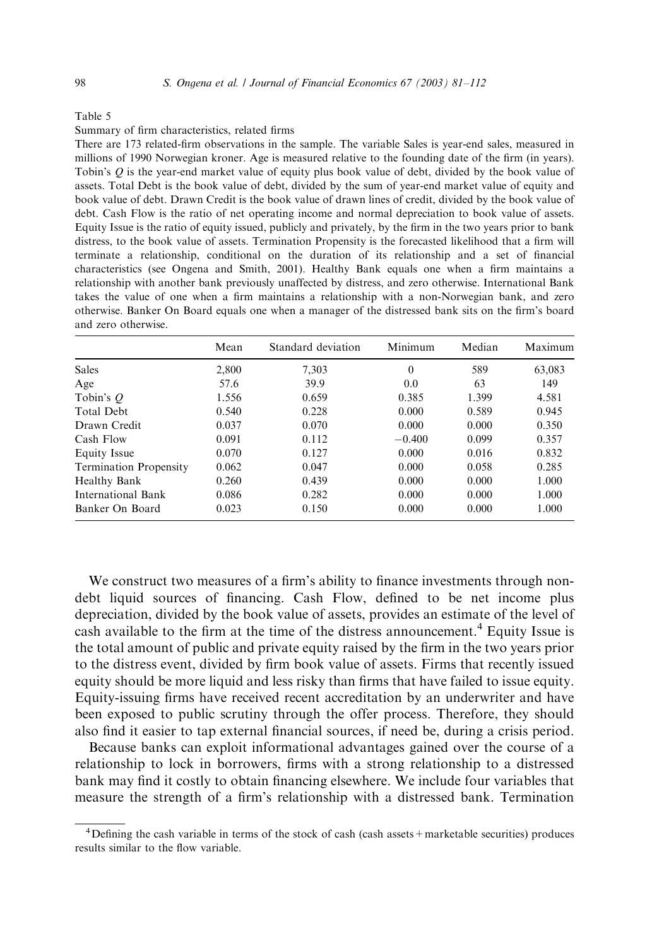#### Summary of firm characteristics, related firms

There are 173 related-firm observations in the sample. The variable Sales is year-end sales, measured in millions of 1990 Norwegian kroner. Age is measured relative to the founding date of the firm (in years). Tobin's Q is the year-end market value of equity plus book value of debt, divided by the book value of assets. Total Debt is the book value of debt, divided by the sum of year-end market value of equity and book value of debt. Drawn Credit is the book value of drawn lines of credit, divided by the book value of debt. Cash Flow is the ratio of net operating income and normal depreciation to book value of assets. Equity Issue is the ratio of equity issued, publicly and privately, by the firm in the two years prior to bank distress, to the book value of assets. Termination Propensity is the forecasted likelihood that a firm will terminate a relationship, conditional on the duration of its relationship and a set of financial characteristics (see Ongena and Smith, 2001). Healthy Bank equals one when a firm maintains a relationship with another bank previously unaffected by distress, and zero otherwise. International Bank takes the value of one when a firm maintains a relationship with a non-Norwegian bank, and zero otherwise. Banker On Board equals one when a manager of the distressed bank sits on the firm's board and zero otherwise.

|                               | Mean  | Standard deviation | Minimum  | Median | Maximum |
|-------------------------------|-------|--------------------|----------|--------|---------|
| Sales                         | 2,800 | 7,303              | $\theta$ | 589    | 63,083  |
| Age                           | 57.6  | 39.9               | 0.0      | 63     | 149     |
| Tobin's $Q$                   | 1.556 | 0.659              | 0.385    | 1.399  | 4.581   |
| <b>Total Debt</b>             | 0.540 | 0.228              | 0.000    | 0.589  | 0.945   |
| Drawn Credit                  | 0.037 | 0.070              | 0.000    | 0.000  | 0.350   |
| Cash Flow                     | 0.091 | 0.112              | $-0.400$ | 0.099  | 0.357   |
| Equity Issue                  | 0.070 | 0.127              | 0.000    | 0.016  | 0.832   |
| <b>Termination Propensity</b> | 0.062 | 0.047              | 0.000    | 0.058  | 0.285   |
| Healthy Bank                  | 0.260 | 0.439              | 0.000    | 0.000  | 1.000   |
| International Bank            | 0.086 | 0.282              | 0.000    | 0.000  | 1.000   |
| Banker On Board               | 0.023 | 0.150              | 0.000    | 0.000  | 1.000   |

We construct two measures of a firm's ability to finance investments through nondebt liquid sources of financing. Cash Flow, defined to be net income plus depreciation, divided by the book value of assets, provides an estimate of the level of cash available to the firm at the time of the distress announcement.<sup>4</sup> Equity Issue is the total amount of public and private equity raised by the firm in the two years prior to the distress event, divided by firm book value of assets. Firms that recently issued equity should be more liquid and less risky than firms that have failed to issue equity. Equity-issuing firms have received recent accreditation by an underwriter and have been exposed to public scrutiny through the offer process. Therefore, they should also find it easier to tap external financial sources, if need be, during a crisis period.

Because banks can exploit informational advantages gained over the course of a relationship to lock in borrowers, firms with a strong relationship to a distressed bank may find it costly to obtain financing elsewhere. We include four variables that measure the strength of a firm's relationship with a distressed bank. Termination

<sup>&</sup>lt;sup>4</sup> Defining the cash variable in terms of the stock of cash (cash assets + marketable securities) produces results similar to the flow variable.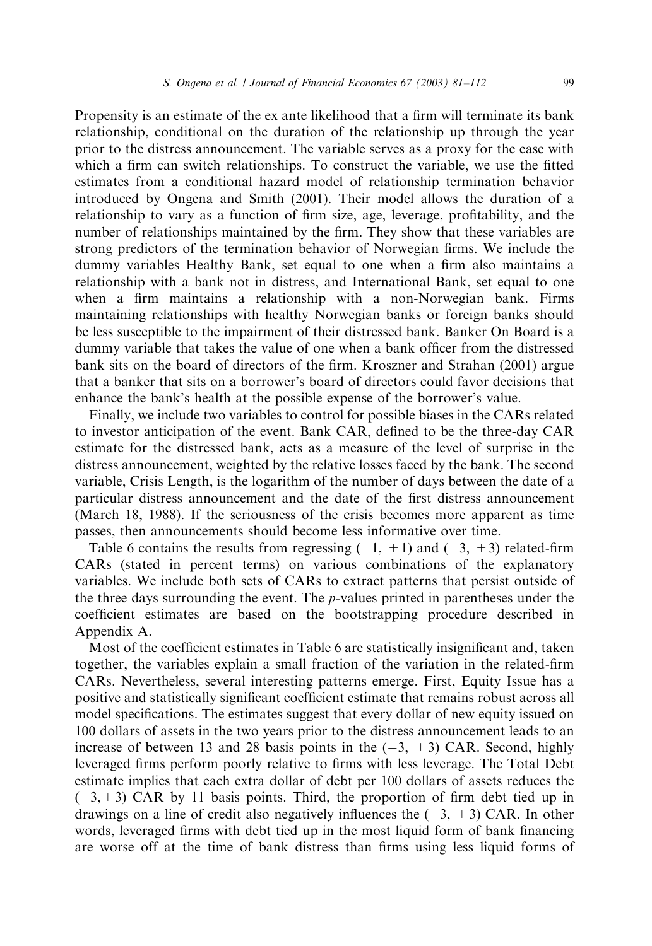Propensity is an estimate of the ex ante likelihood that a firm will terminate its bank relationship, conditional on the duration of the relationship up through the year prior to the distress announcement. The variable serves as a proxy for the ease with which a firm can switch relationships. To construct the variable, we use the fitted estimates from a conditional hazard model of relationship termination behavior introduced by Ongena and Smith (2001). Their model allows the duration of a relationship to vary as a function of firm size, age, leverage, profitability, and the number of relationships maintained by the firm. They show that these variables are strong predictors of the termination behavior of Norwegian firms. We include the dummy variables Healthy Bank, set equal to one when a firm also maintains a relationship with a bank not in distress, and International Bank, set equal to one when a firm maintains a relationship with a non-Norwegian bank. Firms maintaining relationships with healthy Norwegian banks or foreign banks should be less susceptible to the impairment of their distressed bank. Banker On Board is a dummy variable that takes the value of one when a bank officer from the distressed bank sits on the board of directors of the firm. Kroszner and Strahan (2001) argue that a banker that sits on a borrower's board of directors could favor decisions that enhance the bank's health at the possible expense of the borrower's value.

Finally, we include two variables to control for possible biases in the CARs related to investor anticipation of the event. Bank CAR, defined to be the three-day CAR estimate for the distressed bank, acts as a measure of the level of surprise in the distress announcement, weighted by the relative losses faced by the bank. The second variable, Crisis Length, is the logarithm of the number of days between the date of a particular distress announcement and the date of the first distress announcement (March 18, 1988). If the seriousness of the crisis becomes more apparent as time passes, then announcements should become less informative over time.

Table 6 contains the results from regressing  $(-1, +1)$  and  $(-3, +3)$  related-firm CARs (stated in percent terms) on various combinations of the explanatory variables. We include both sets of CARs to extract patterns that persist outside of the three days surrounding the event. The p-values printed in parentheses under the coefficient estimates are based on the bootstrapping procedure described in Appendix A.

Most of the coefficient estimates in Table 6 are statistically insignificant and, taken together, the variables explain a small fraction of the variation in the related-firm CARs. Nevertheless, several interesting patterns emerge. First, Equity Issue has a positive and statistically significant coefficient estimate that remains robust across all model specifications. The estimates suggest that every dollar of new equity issued on 100 dollars of assets in the two years prior to the distress announcement leads to an increase of between 13 and 28 basis points in the  $(-3, +3)$  CAR. Second, highly leveraged firms perform poorly relative to firms with less leverage. The Total Debt estimate implies that each extra dollar of debt per 100 dollars of assets reduces the  $(-3, +3)$  CAR by 11 basis points. Third, the proportion of firm debt tied up in drawings on a line of credit also negatively influences the  $(-3, +3)$  CAR. In other words, leveraged firms with debt tied up in the most liquid form of bank financing are worse off at the time of bank distress than firms using less liquid forms of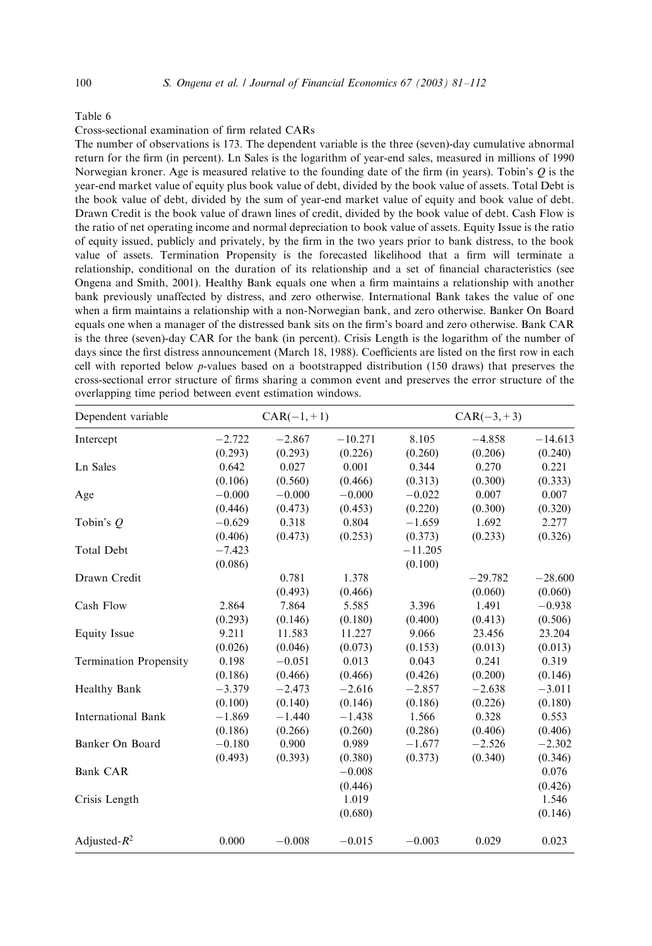### Cross-sectional examination of firm related CARs

The number of observations is 173. The dependent variable is the three (seven)-day cumulative abnormal return for the firm (in percent). Ln Sales is the logarithm of year-end sales, measured in millions of 1990 Norwegian kroner. Age is measured relative to the founding date of the firm (in years). Tobin's  $Q$  is the year-end market value of equity plus book value of debt, divided by the book value of assets. Total Debt is the book value of debt, divided by the sum of year-end market value of equity and book value of debt. Drawn Credit is the book value of drawn lines of credit, divided by the book value of debt. Cash Flow is the ratio of net operating income and normal depreciation to book value of assets. Equity Issue is the ratio of equity issued, publicly and privately, by the firm in the two years prior to bank distress, to the book value of assets. Termination Propensity is the forecasted likelihood that a firm will terminate a relationship, conditional on the duration of its relationship and a set of financial characteristics (see Ongena and Smith, 2001). Healthy Bank equals one when a firm maintains a relationship with another bank previously unaffected by distress, and zero otherwise. International Bank takes the value of one when a firm maintains a relationship with a non-Norwegian bank, and zero otherwise. Banker On Board equals one when a manager of the distressed bank sits on the firm's board and zero otherwise. Bank CAR is the three (seven)-day CAR for the bank (in percent). Crisis Length is the logarithm of the number of days since the first distress announcement (March 18, 1988). Coefficients are listed on the first row in each cell with reported below p-values based on a bootstrapped distribution (150 draws) that preserves the cross-sectional error structure of firms sharing a common event and preserves the error structure of the overlapping time period between event estimation windows.

| Dependent variable            |          | $CAR(-1, +1)$ |           |           | $CAR(-3, +3)$ |           |
|-------------------------------|----------|---------------|-----------|-----------|---------------|-----------|
| Intercept                     | $-2.722$ | $-2.867$      | $-10.271$ | 8.105     | $-4.858$      | $-14.613$ |
|                               | (0.293)  | (0.293)       | (0.226)   | (0.260)   | (0.206)       | (0.240)   |
| Ln Sales                      | 0.642    | 0.027         | 0.001     | 0.344     | 0.270         | 0.221     |
|                               | (0.106)  | (0.560)       | (0.466)   | (0.313)   | (0.300)       | (0.333)   |
| Age                           | $-0.000$ | $-0.000$      | $-0.000$  | $-0.022$  | 0.007         | 0.007     |
|                               | (0.446)  | (0.473)       | (0.453)   | (0.220)   | (0.300)       | (0.320)   |
| Tobin's $Q$                   | $-0.629$ | 0.318         | 0.804     | $-1.659$  | 1.692         | 2.277     |
|                               | (0.406)  | (0.473)       | (0.253)   | (0.373)   | (0.233)       | (0.326)   |
| <b>Total Debt</b>             | $-7.423$ |               |           | $-11.205$ |               |           |
|                               | (0.086)  |               |           | (0.100)   |               |           |
| Drawn Credit                  |          | 0.781         | 1.378     |           | $-29.782$     | $-28.600$ |
|                               |          | (0.493)       | (0.466)   |           | (0.060)       | (0.060)   |
| Cash Flow                     | 2.864    | 7.864         | 5.585     | 3.396     | 1.491         | $-0.938$  |
|                               | (0.293)  | (0.146)       | (0.180)   | (0.400)   | (0.413)       | (0.506)   |
| <b>Equity Issue</b>           | 9.211    | 11.583        | 11.227    | 9.066     | 23.456        | 23.204    |
|                               | (0.026)  | (0.046)       | (0.073)   | (0.153)   | (0.013)       | (0.013)   |
| <b>Termination Propensity</b> | 0.198    | $-0.051$      | 0.013     | 0.043     | 0.241         | 0.319     |
|                               | (0.186)  | (0.466)       | (0.466)   | (0.426)   | (0.200)       | (0.146)   |
| <b>Healthy Bank</b>           | $-3.379$ | $-2.473$      | $-2.616$  | $-2.857$  | $-2.638$      | $-3.011$  |
|                               | (0.100)  | (0.140)       | (0.146)   | (0.186)   | (0.226)       | (0.180)   |
| <b>International Bank</b>     | $-1.869$ | $-1.440$      | $-1.438$  | 1.566     | 0.328         | 0.553     |
|                               | (0.186)  | (0.266)       | (0.260)   | (0.286)   | (0.406)       | (0.406)   |
| Banker On Board               | $-0.180$ | 0.900         | 0.989     | $-1.677$  | $-2.526$      | $-2.302$  |
|                               | (0.493)  | (0.393)       | (0.380)   | (0.373)   | (0.340)       | (0.346)   |
| <b>Bank CAR</b>               |          |               | $-0.008$  |           |               | 0.076     |
|                               |          |               | (0.446)   |           |               | (0.426)   |
| Crisis Length                 |          |               | 1.019     |           |               | 1.546     |
|                               |          |               | (0.680)   |           |               | (0.146)   |
| Adjusted- $R^2$               | 0.000    | $-0.008$      | $-0.015$  | $-0.003$  | 0.029         | 0.023     |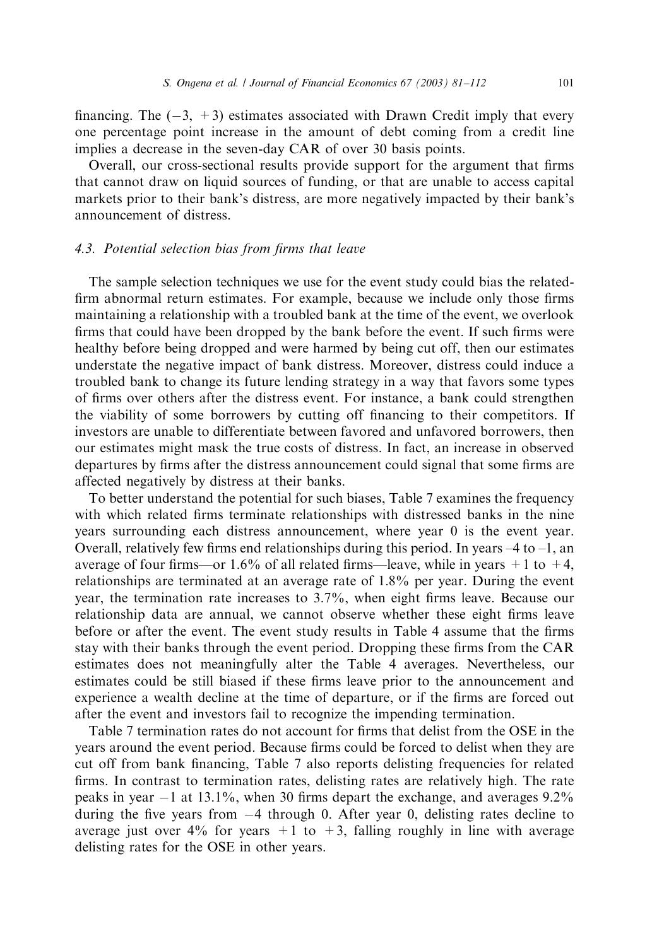financing. The  $(-3, +3)$  estimates associated with Drawn Credit imply that every one percentage point increase in the amount of debt coming from a credit line implies a decrease in the seven-day CAR of over 30 basis points.

Overall, our cross-sectional results provide support for the argument that firms that cannot draw on liquid sources of funding, or that are unable to access capital markets prior to their bank's distress, are more negatively impacted by their bank's announcement of distress.

# 4.3. Potential selection bias from firms that leave

The sample selection techniques we use for the event study could bias the relatedfirm abnormal return estimates. For example, because we include only those firms maintaining a relationship with a troubled bank at the time of the event, we overlook firms that could have been dropped by the bank before the event. If such firms were healthy before being dropped and were harmed by being cut off, then our estimates understate the negative impact of bank distress. Moreover, distress could induce a troubled bank to change its future lending strategy in a way that favors some types of firms over others after the distress event. For instance, a bank could strengthen the viability of some borrowers by cutting off financing to their competitors. If investors are unable to differentiate between favored and unfavored borrowers, then our estimates might mask the true costs of distress. In fact, an increase in observed departures by firms after the distress announcement could signal that some firms are affected negatively by distress at their banks.

To better understand the potential for such biases, Table 7 examines the frequency with which related firms terminate relationships with distressed banks in the nine years surrounding each distress announcement, where year 0 is the event year. Overall, relatively few firms end relationships during this period. In years  $-4$  to  $-1$ , an average of four firms—or 1.6% of all related firms—leave, while in years  $+1$  to  $+4$ , relationships are terminated at an average rate of 1.8% per year. During the event year, the termination rate increases to 3.7%, when eight firms leave. Because our relationship data are annual, we cannot observe whether these eight firms leave before or after the event. The event study results in Table 4 assume that the firms stay with their banks through the event period. Dropping these firms from the CAR estimates does not meaningfully alter the Table 4 averages. Nevertheless, our estimates could be still biased if these firms leave prior to the announcement and experience a wealth decline at the time of departure, or if the firms are forced out after the event and investors fail to recognize the impending termination.

Table 7 termination rates do not account for firms that delist from the OSE in the years around the event period. Because firms could be forced to delist when they are cut off from bank financing, Table 7 also reports delisting frequencies for related firms. In contrast to termination rates, delisting rates are relatively high. The rate peaks in year  $-1$  at 13.1%, when 30 firms depart the exchange, and averages 9.2% during the five years from  $-4$  through 0. After year 0, delisting rates decline to average just over  $4\%$  for years  $+1$  to  $+3$ , falling roughly in line with average delisting rates for the OSE in other years.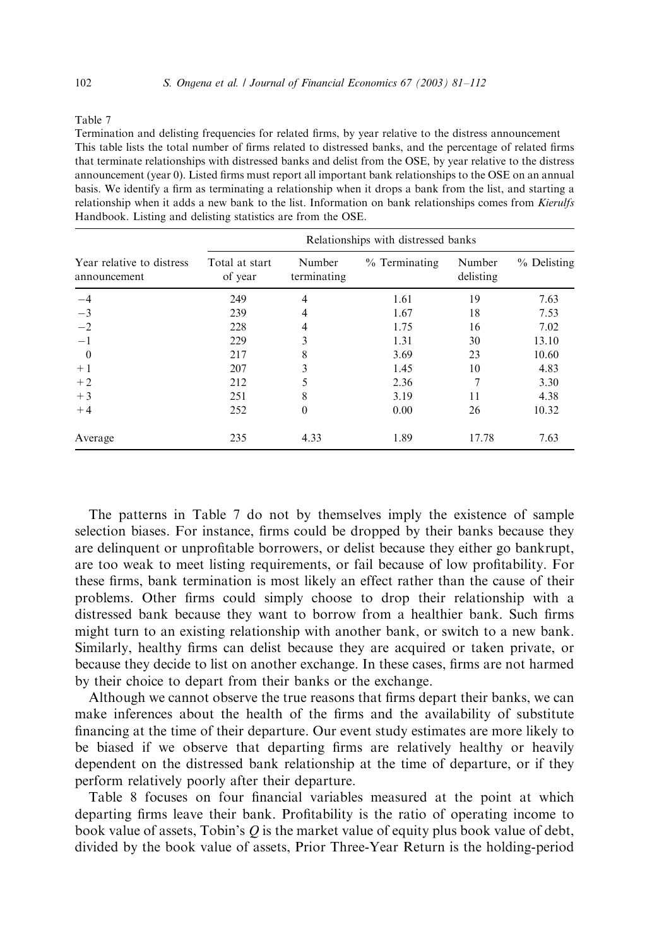Termination and delisting frequencies for related firms, by year relative to the distress announcement This table lists the total number of firms related to distressed banks, and the percentage of related firms that terminate relationships with distressed banks and delist from the OSE, by year relative to the distress announcement (year 0). Listed firms must report all important bank relationships to the OSE on an annual basis. We identify a firm as terminating a relationship when it drops a bank from the list, and starting a relationship when it adds a new bank to the list. Information on bank relationships comes from Kierulfs Handbook. Listing and delisting statistics are from the OSE.

|                                           | Relationships with distressed banks |                       |                 |                     |               |  |  |
|-------------------------------------------|-------------------------------------|-----------------------|-----------------|---------------------|---------------|--|--|
| Year relative to distress<br>announcement | Total at start<br>of year           | Number<br>terminating | $%$ Terminating | Number<br>delisting | $%$ Delisting |  |  |
| $-4$                                      | 249                                 | 4                     | 1.61            | 19                  | 7.63          |  |  |
| $-3$                                      | 239                                 | 4                     | 1.67            | 18                  | 7.53          |  |  |
| $-2$                                      | 228                                 | 4                     | 1.75            | 16                  | 7.02          |  |  |
| $-1$                                      | 229                                 | 3                     | 1.31            | 30                  | 13.10         |  |  |
| $\overline{0}$                            | 217                                 | 8                     | 3.69            | 23                  | 10.60         |  |  |
| $+1$                                      | 207                                 | 3                     | 1.45            | 10                  | 4.83          |  |  |
| $+2$                                      | 212                                 | 5                     | 2.36            | 7                   | 3.30          |  |  |
| $+3$                                      | 251                                 | 8                     | 3.19            | 11                  | 4.38          |  |  |
| $+4$                                      | 252                                 | $\boldsymbol{0}$      | 0.00            | 26                  | 10.32         |  |  |
| Average                                   | 235                                 | 4.33                  | 1.89            | 17.78               | 7.63          |  |  |

The patterns in Table 7 do not by themselves imply the existence of sample selection biases. For instance, firms could be dropped by their banks because they are delinquent or unprofitable borrowers, or delist because they either go bankrupt, are too weak to meet listing requirements, or fail because of low profitability. For these firms, bank termination is most likely an effect rather than the cause of their problems. Other firms could simply choose to drop their relationship with a distressed bank because they want to borrow from a healthier bank. Such firms might turn to an existing relationship with another bank, or switch to a new bank. Similarly, healthy firms can delist because they are acquired or taken private, or because they decide to list on another exchange. In these cases, firms are not harmed by their choice to depart from their banks or the exchange.

Although we cannot observe the true reasons that firms depart their banks, we can make inferences about the health of the firms and the availability of substitute financing at the time of their departure. Our event study estimates are more likely to be biased if we observe that departing firms are relatively healthy or heavily dependent on the distressed bank relationship at the time of departure, or if they perform relatively poorly after their departure.

Table 8 focuses on four financial variables measured at the point at which departing firms leave their bank. Profitability is the ratio of operating income to book value of assets, Tobin's  $\hat{Q}$  is the market value of equity plus book value of debt, divided by the book value of assets, Prior Three-Year Return is the holding-period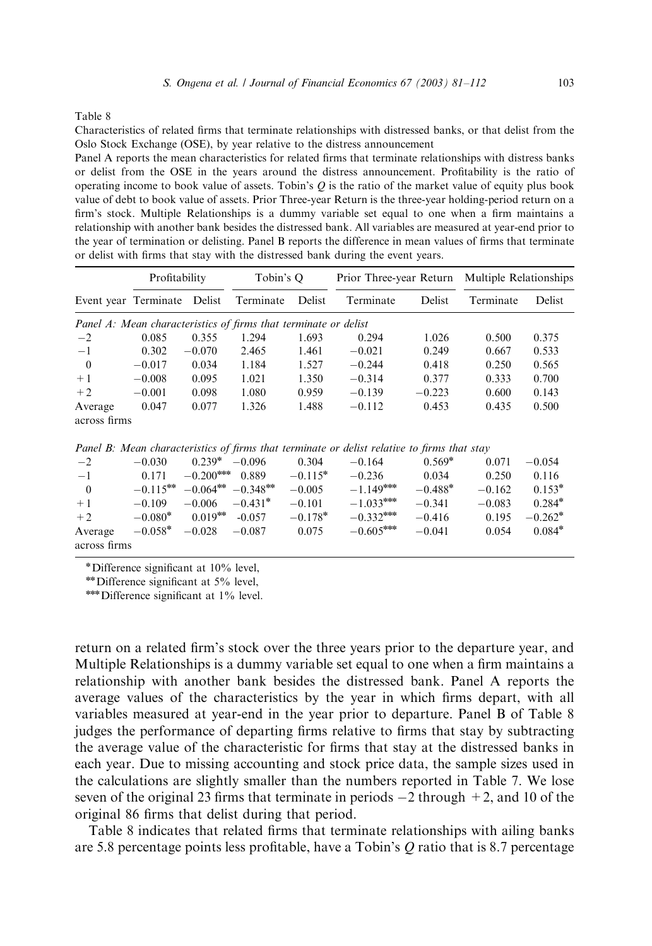Characteristics of related firms that terminate relationships with distressed banks, or that delist from the Oslo Stock Exchange (OSE), by year relative to the distress announcement

Panel A reports the mean characteristics for related firms that terminate relationships with distress banks or delist from the OSE in the years around the distress announcement. Profitability is the ratio of operating income to book value of assets. Tobin's  $Q$  is the ratio of the market value of equity plus book value of debt to book value of assets. Prior Three-year Return is the three-year holding-period return on a firm's stock. Multiple Relationships is a dummy variable set equal to one when a firm maintains a relationship with another bank besides the distressed bank. All variables are measured at year-end prior to the year of termination or delisting. Panel B reports the difference in mean values of firms that terminate or delist with firms that stay with the distressed bank during the event years.

|                             | Profitability |          | Tobin's O                                                       |        | Prior Three-year Return |               | Multiple Relationships |               |
|-----------------------------|---------------|----------|-----------------------------------------------------------------|--------|-------------------------|---------------|------------------------|---------------|
| Event year Terminate Delist |               |          | Terminate                                                       | Delist | Terminate               | <b>Delist</b> | Terminate              | <b>Delist</b> |
|                             |               |          | Panel A: Mean characteristics of firms that terminate or delist |        |                         |               |                        |               |
| $-2$                        | 0.085         | 0.355    | 1.294                                                           | 1.693  | 0.294                   | 1.026         | 0.500                  | 0.375         |
| $-1$                        | 0.302         | $-0.070$ | 2.465                                                           | 1.461  | $-0.021$                | 0.249         | 0.667                  | 0.533         |
| $\overline{0}$              | $-0.017$      | 0.034    | 1.184                                                           | 1.527  | $-0.244$                | 0.418         | 0.250                  | 0.565         |
| $+1$                        | $-0.008$      | 0.095    | 1.021                                                           | 1.350  | $-0.314$                | 0.377         | 0.333                  | 0.700         |
| $+2$                        | $-0.001$      | 0.098    | 1.080                                                           | 0.959  | $-0.139$                | $-0.223$      | 0.600                  | 0.143         |
| Average<br>across firms     | 0.047         | 0.077    | 1.326                                                           | 1.488  | $-0.112$                | 0.453         | 0.435                  | 0.500         |

Panel B: Mean characteristics of firms that terminate or delist relative to firms that stay

|              |            | $0.239*$                            |           |             |           |          |           |
|--------------|------------|-------------------------------------|-----------|-------------|-----------|----------|-----------|
| $-2$         | $-0.030$   | $-0.096$                            | 0.304     | $-0.164$    | $0.569*$  | 0.071    | $-0.054$  |
| $-1$         | 0.171      | $-0.200***$<br>0.889                | $-0.115*$ | $-0.236$    | 0.034     | 0.250    | 0.116     |
| $\theta$     |            | $-0.115***$ $-0.064***$ $-0.348***$ | $-0.005$  | $-1.149***$ | $-0.488*$ | $-0.162$ | $0.153*$  |
| $+1$         | $-0.109$   | $-0.431*$<br>$-0.006$               | $-0.101$  | $-1.033***$ | $-0.341$  | $-0.083$ | $0.284*$  |
| $+2$         | $-0.080^*$ | $0.019***$<br>$-0.057$              | $-0.178*$ | $-0.332***$ | $-0.416$  | 0.195    | $-0.262*$ |
| Average      | $-0.058*$  | $-0.028$<br>$-0.087$                | 0.075     | $-0.605***$ | $-0.041$  | 0.054    | $0.084*$  |
| across firms |            |                                     |           |             |           |          |           |

 $*$ Difference significant at  $10\%$  level,

**EXECUTE:** The Superiorist at 5% level,  $n+1$  is positive significant at 1% level.

return on a related firm's stock over the three years prior to the departure year, and Multiple Relationships is a dummy variable set equal to one when a firm maintains a relationship with another bank besides the distressed bank. Panel A reports the average values of the characteristics by the year in which firms depart, with all variables measured at year-end in the year prior to departure. Panel B of Table 8 judges the performance of departing firms relative to firms that stay by subtracting the average value of the characteristic for firms that stay at the distressed banks in each year. Due to missing accounting and stock price data, the sample sizes used in the calculations are slightly smaller than the numbers reported in Table 7. We lose seven of the original 23 firms that terminate in periods  $-2$  through  $+2$ , and 10 of the original 86 firms that delist during that period.

Table 8 indicates that related firms that terminate relationships with ailing banks are 5.8 percentage points less profitable, have a Tobin's  $\hat{O}$  ratio that is 8.7 percentage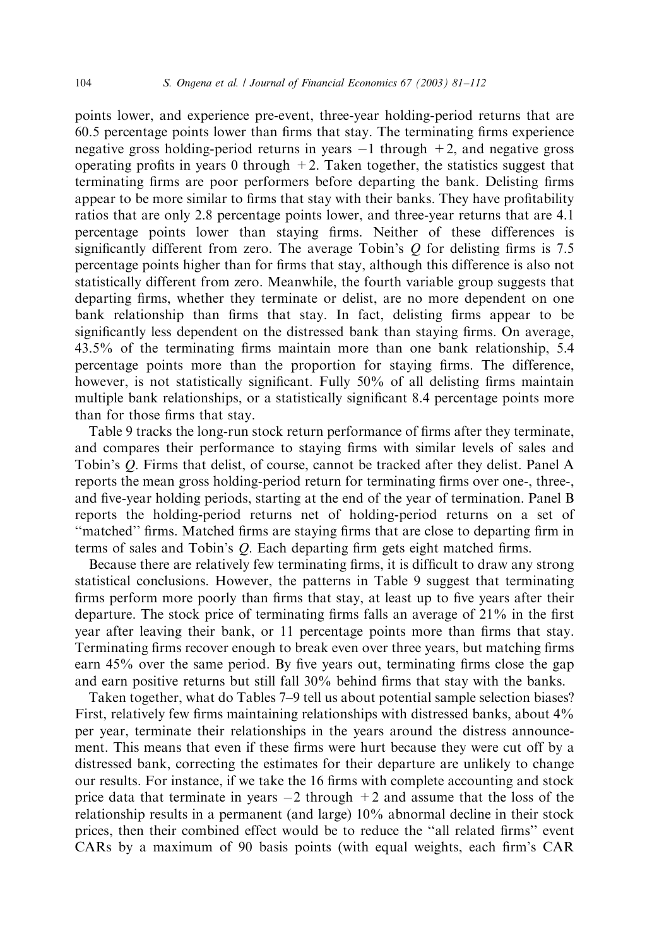points lower, and experience pre-event, three-year holding-period returns that are 60.5 percentage points lower than firms that stay. The terminating firms experience negative gross holding-period returns in years  $-1$  through  $+2$ , and negative gross operating profits in years 0 through  $+2$ . Taken together, the statistics suggest that terminating firms are poor performers before departing the bank. Delisting firms appear to be more similar to firms that stay with their banks. They have profitability ratios that are only 2.8 percentage points lower, and three-year returns that are 4.1 percentage points lower than staying firms. Neither of these differences is significantly different from zero. The average Tobin's  $Q$  for delisting firms is 7.5 percentage points higher than for firms that stay, although this difference is also not statistically different from zero. Meanwhile, the fourth variable group suggests that departing firms, whether they terminate or delist, are no more dependent on one bank relationship than firms that stay. In fact, delisting firms appear to be significantly less dependent on the distressed bank than staying firms. On average, 43.5% of the terminating firms maintain more than one bank relationship, 5.4 percentage points more than the proportion for staying firms. The difference, however, is not statistically significant. Fully 50% of all delisting firms maintain multiple bank relationships, or a statistically significant 8.4 percentage points more than for those firms that stay.

Table 9 tracks the long-run stock return performance of firms after they terminate, and compares their performance to staying firms with similar levels of sales and Tobin's Q: Firms that delist, of course, cannot be tracked after they delist. Panel A reports the mean gross holding-period return for terminating firms over one-, three-, and five-year holding periods, starting at the end of the year of termination. Panel B reports the holding-period returns net of holding-period returns on a set of ''matched'' firms. Matched firms are staying firms that are close to departing firm in terms of sales and Tobin's Q: Each departing firm gets eight matched firms.

Because there are relatively few terminating firms, it is difficult to draw any strong statistical conclusions. However, the patterns in Table 9 suggest that terminating firms perform more poorly than firms that stay, at least up to five years after their departure. The stock price of terminating firms falls an average of 21% in the first year after leaving their bank, or 11 percentage points more than firms that stay. Terminating firms recover enough to break even over three years, but matching firms earn 45% over the same period. By five years out, terminating firms close the gap and earn positive returns but still fall 30% behind firms that stay with the banks.

Taken together, what do Tables 7–9 tell us about potential sample selection biases? First, relatively few firms maintaining relationships with distressed banks, about 4% per year, terminate their relationships in the years around the distress announcement. This means that even if these firms were hurt because they were cut off by a distressed bank, correcting the estimates for their departure are unlikely to change our results. For instance, if we take the 16 firms with complete accounting and stock price data that terminate in years  $-2$  through  $+2$  and assume that the loss of the relationship results in a permanent (and large) 10% abnormal decline in their stock prices, then their combined effect would be to reduce the ''all related firms'' event CARs by a maximum of 90 basis points (with equal weights, each firm's CAR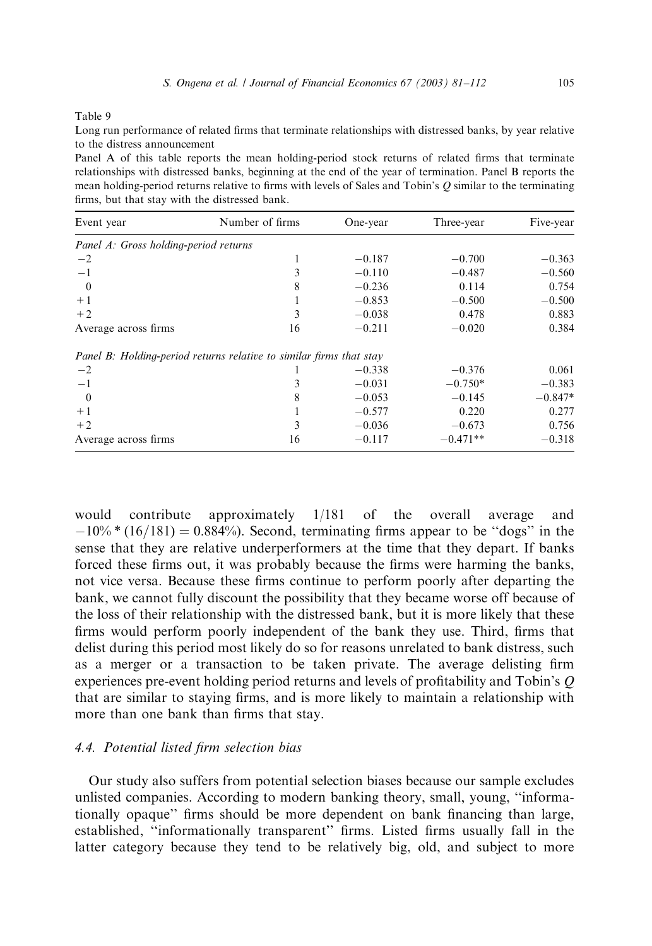Long run performance of related firms that terminate relationships with distressed banks, by year relative to the distress announcement

Panel A of this table reports the mean holding-period stock returns of related firms that terminate relationships with distressed banks, beginning at the end of the year of termination. Panel B reports the mean holding-period returns relative to firms with levels of Sales and Tobin's  $Q$  similar to the terminating firms, but that stay with the distressed bank.

| Event year                                                          | Number of firms | One-year | Three-year<br>Five-year |           |
|---------------------------------------------------------------------|-----------------|----------|-------------------------|-----------|
| Panel A: Gross holding-period returns                               |                 |          |                         |           |
| $-2$                                                                |                 | $-0.187$ | $-0.700$                | $-0.363$  |
| $-1$                                                                | 3               | $-0.110$ | $-0.487$                | $-0.560$  |
| $\overline{0}$                                                      | 8               | $-0.236$ | 0.114                   | 0.754     |
| $+1$                                                                |                 | $-0.853$ | $-0.500$                | $-0.500$  |
| $+2$                                                                | 3               | $-0.038$ | 0.478                   | 0.883     |
| Average across firms                                                | 16              | $-0.211$ | $-0.020$                | 0.384     |
| Panel B: Holding-period returns relative to similar firms that stay |                 |          |                         |           |
| $-2$                                                                |                 | $-0.338$ | $-0.376$                | 0.061     |
| $-1$                                                                | 3               | $-0.031$ | $-0.750*$               | $-0.383$  |
| $\Omega$                                                            | 8               | $-0.053$ | $-0.145$                | $-0.847*$ |
| $+1$                                                                |                 | $-0.577$ | 0.220                   | 0.277     |
| $+2$                                                                | 3               | $-0.036$ | $-0.673$                | 0.756     |
| Average across firms                                                | 16              | $-0.117$ | $-0.471**$              | $-0.318$  |

would contribute approximately 1/181 of the overall average and  $-10\%$  \* (16/181) = 0.884%). Second, terminating firms appear to be "dogs" in the sense that they are relative underperformers at the time that they depart. If banks forced these firms out, it was probably because the firms were harming the banks, not vice versa. Because these firms continue to perform poorly after departing the bank, we cannot fully discount the possibility that they became worse off because of the loss of their relationship with the distressed bank, but it is more likely that these firms would perform poorly independent of the bank they use. Third, firms that delist during this period most likely do so for reasons unrelated to bank distress, such as a merger or a transaction to be taken private. The average delisting firm experiences pre-event holding period returns and levels of profitability and Tobin's Q that are similar to staying firms, and is more likely to maintain a relationship with more than one bank than firms that stay.

# 4.4. Potential listed firm selection bias

Our study also suffers from potential selection biases because our sample excludes unlisted companies. According to modern banking theory, small, young, ''informationally opaque'' firms should be more dependent on bank financing than large, established, ''informationally transparent'' firms. Listed firms usually fall in the latter category because they tend to be relatively big, old, and subject to more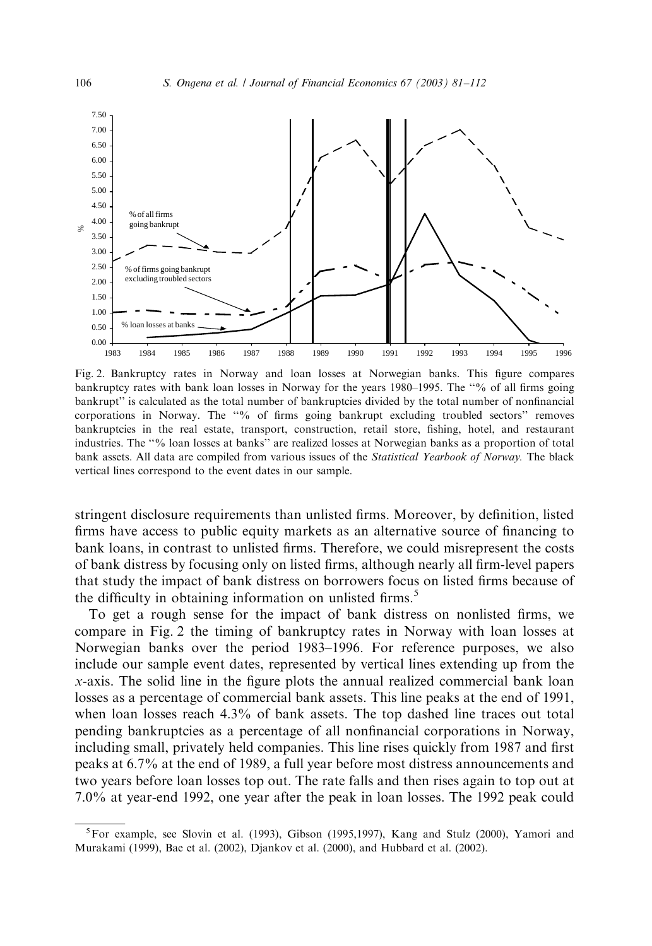

Fig. 2. Bankruptcy rates in Norway and loan losses at Norwegian banks. This figure compares bankruptcy rates with bank loan losses in Norway for the years 1980–1995. The ''% of all firms going bankrupt'' is calculated as the total number of bankruptcies divided by the total number of nonfinancial corporations in Norway. The ''% of firms going bankrupt excluding troubled sectors'' removes bankruptcies in the real estate, transport, construction, retail store, fishing, hotel, and restaurant industries. The ''% loan losses at banks'' are realized losses at Norwegian banks as a proportion of total bank assets. All data are compiled from various issues of the *Statistical Yearbook of Norway*. The black vertical lines correspond to the event dates in our sample.

stringent disclosure requirements than unlisted firms. Moreover, by definition, listed firms have access to public equity markets as an alternative source of financing to bank loans, in contrast to unlisted firms. Therefore, we could misrepresent the costs of bank distress by focusing only on listed firms, although nearly all firm-level papers that study the impact of bank distress on borrowers focus on listed firms because of the difficulty in obtaining information on unlisted firms.<sup>5</sup>

To get a rough sense for the impact of bank distress on nonlisted firms, we compare in Fig. 2 the timing of bankruptcy rates in Norway with loan losses at Norwegian banks over the period 1983–1996. For reference purposes, we also include our sample event dates, represented by vertical lines extending up from the x-axis. The solid line in the figure plots the annual realized commercial bank loan losses as a percentage of commercial bank assets. This line peaks at the end of 1991, when loan losses reach 4.3% of bank assets. The top dashed line traces out total pending bankruptcies as a percentage of all nonfinancial corporations in Norway, including small, privately held companies. This line rises quickly from 1987 and first peaks at 6.7% at the end of 1989, a full year before most distress announcements and two years before loan losses top out. The rate falls and then rises again to top out at 7.0% at year-end 1992, one year after the peak in loan losses. The 1992 peak could

<sup>&</sup>lt;sup>5</sup>For example, see Slovin et al. (1993), Gibson (1995,1997), Kang and Stulz (2000), Yamori and Murakami (1999), Bae et al. (2002), Djankov et al. (2000), and Hubbard et al. (2002).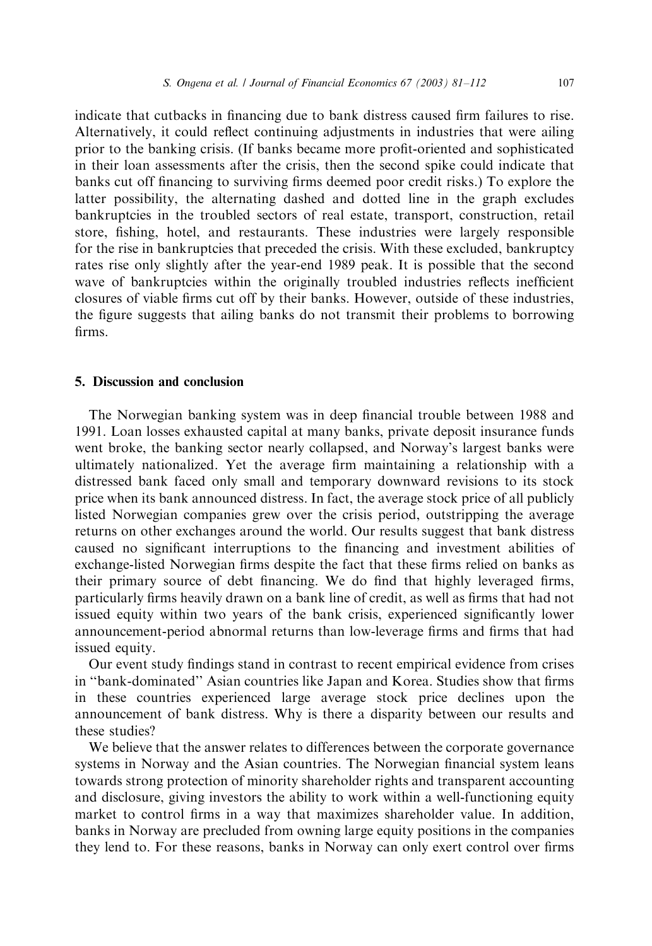indicate that cutbacks in financing due to bank distress caused firm failures to rise. Alternatively, it could reflect continuing adjustments in industries that were ailing prior to the banking crisis. (If banks became more profit-oriented and sophisticated in their loan assessments after the crisis, then the second spike could indicate that banks cut off financing to surviving firms deemed poor credit risks.) To explore the latter possibility, the alternating dashed and dotted line in the graph excludes bankruptcies in the troubled sectors of real estate, transport, construction, retail store, fishing, hotel, and restaurants. These industries were largely responsible for the rise in bankruptcies that preceded the crisis. With these excluded, bankruptcy rates rise only slightly after the year-end 1989 peak. It is possible that the second wave of bankruptcies within the originally troubled industries reflects inefficient closures of viable firms cut off by their banks. However, outside of these industries, the figure suggests that ailing banks do not transmit their problems to borrowing firms.

# 5. Discussion and conclusion

The Norwegian banking system was in deep financial trouble between 1988 and 1991. Loan losses exhausted capital at many banks, private deposit insurance funds went broke, the banking sector nearly collapsed, and Norway's largest banks were ultimately nationalized. Yet the average firm maintaining a relationship with a distressed bank faced only small and temporary downward revisions to its stock price when its bank announced distress. In fact, the average stock price of all publicly listed Norwegian companies grew over the crisis period, outstripping the average returns on other exchanges around the world. Our results suggest that bank distress caused no significant interruptions to the financing and investment abilities of exchange-listed Norwegian firms despite the fact that these firms relied on banks as their primary source of debt financing. We do find that highly leveraged firms, particularly firms heavily drawn on a bank line of credit, as well as firms that had not issued equity within two years of the bank crisis, experienced significantly lower announcement-period abnormal returns than low-leverage firms and firms that had issued equity.

Our event study findings stand in contrast to recent empirical evidence from crises in ''bank-dominated'' Asian countries like Japan and Korea. Studies show that firms in these countries experienced large average stock price declines upon the announcement of bank distress. Why is there a disparity between our results and these studies?

We believe that the answer relates to differences between the corporate governance systems in Norway and the Asian countries. The Norwegian financial system leans towards strong protection of minority shareholder rights and transparent accounting and disclosure, giving investors the ability to work within a well-functioning equity market to control firms in a way that maximizes shareholder value. In addition, banks in Norway are precluded from owning large equity positions in the companies they lend to. For these reasons, banks in Norway can only exert control over firms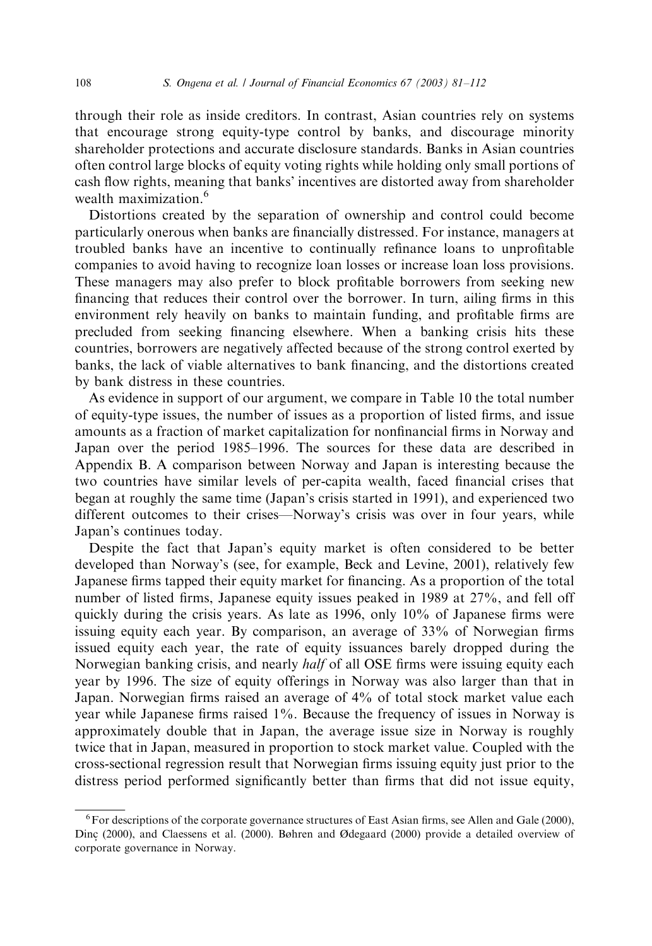through their role as inside creditors. In contrast, Asian countries rely on systems that encourage strong equity-type control by banks, and discourage minority shareholder protections and accurate disclosure standards. Banks in Asian countries often control large blocks of equity voting rights while holding only small portions of cash flow rights, meaning that banks' incentives are distorted away from shareholder wealth maximization.<sup>6</sup>

Distortions created by the separation of ownership and control could become particularly onerous when banks are financially distressed. For instance, managers at troubled banks have an incentive to continually refinance loans to unprofitable companies to avoid having to recognize loan losses or increase loan loss provisions. These managers may also prefer to block profitable borrowers from seeking new financing that reduces their control over the borrower. In turn, ailing firms in this environment rely heavily on banks to maintain funding, and profitable firms are precluded from seeking financing elsewhere. When a banking crisis hits these countries, borrowers are negatively affected because of the strong control exerted by banks, the lack of viable alternatives to bank financing, and the distortions created by bank distress in these countries.

As evidence in support of our argument, we compare in Table 10 the total number of equity-type issues, the number of issues as a proportion of listed firms, and issue amounts as a fraction of market capitalization for nonfinancial firms in Norway and Japan over the period 1985–1996. The sources for these data are described in Appendix B. A comparison between Norway and Japan is interesting because the two countries have similar levels of per-capita wealth, faced financial crises that began at roughly the same time (Japan's crisis started in 1991), and experienced two different outcomes to their crises—Norway's crisis was over in four years, while Japan's continues today.

Despite the fact that Japan's equity market is often considered to be better developed than Norway's (see, for example, Beck and Levine, 2001), relatively few Japanese firms tapped their equity market for financing. As a proportion of the total number of listed firms, Japanese equity issues peaked in 1989 at 27%, and fell off quickly during the crisis years. As late as 1996, only 10% of Japanese firms were issuing equity each year. By comparison, an average of 33% of Norwegian firms issued equity each year, the rate of equity issuances barely dropped during the Norwegian banking crisis, and nearly *half* of all OSE firms were issuing equity each year by 1996. The size of equity offerings in Norway was also larger than that in Japan. Norwegian firms raised an average of 4% of total stock market value each year while Japanese firms raised 1%. Because the frequency of issues in Norway is approximately double that in Japan, the average issue size in Norway is roughly twice that in Japan, measured in proportion to stock market value. Coupled with the cross-sectional regression result that Norwegian firms issuing equity just prior to the distress period performed significantly better than firms that did not issue equity,

 ${}^{6}$  For descriptions of the corporate governance structures of East Asian firms, see Allen and Gale (2000), Dinc (2000), and Claessens et al. (2000). Bøhren and Ødegaard (2000) provide a detailed overview of corporate governance in Norway.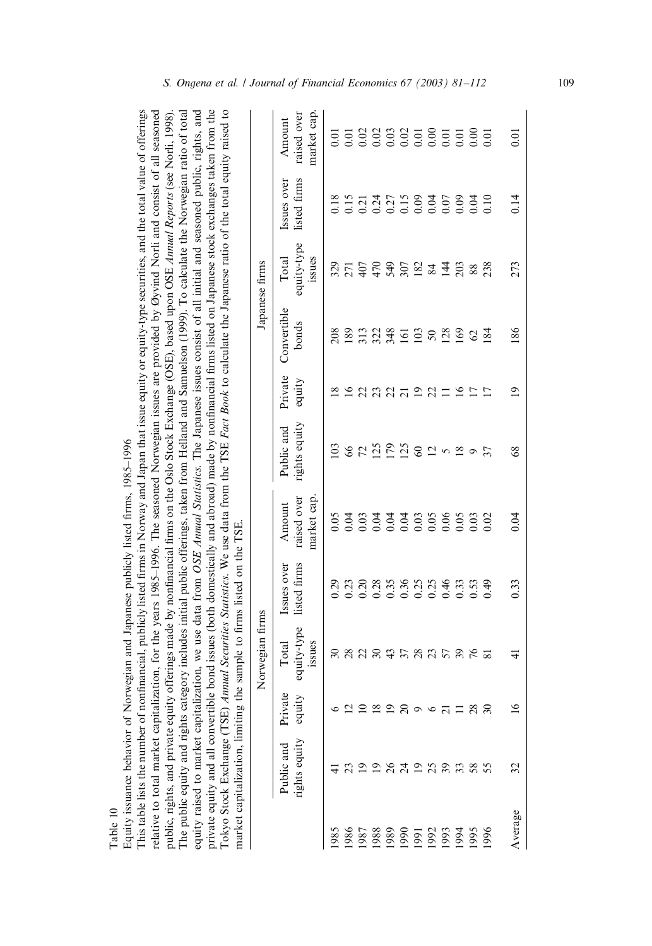Equity issuance behavior of Norwegian and Japanese publicly listed firms, 1985-1996 Equity issuance behavior of Norwegian and Japanese publicly listed firms, 1985–1996 Table 10

This table lists the number of nonfinancial, publicly listed firms in Norway and Japan that issue equity-type securities, and the total value of offerings private equity and all convertible bond issues (both domestically and abroad) made by nonfinancial firms listed on Japanese stock exchanges taken from the Tokyo Stock Exchange (TSE) Annual Securities Statistics. We use data from the TSE Fact Book to calculate the Japanese ratio of the total equity raised to This table lists the number of nonfinancial, publicly listed firms in Norway and Japan that issue equity or equity-type securities, and the total value of offerings relative to total market capitalization, for the years 1985–1996. The seasoned Norwegian issues are provided by Øyvind Norli and consist of all seasoned relative to total market capitalization, for the years 1985–1996. The seasoned Norwegian issues are provided by Øyvind Norli and consist of all seasoned public, rights, and private equity offerings made by nonfinancial firms on the Oslo Stock Exchange (OSE), based upon OSE Annual Reports (see Norli, 1998). The public equity and rights category includes initial public offerings, taken from Helland and Samuelson (1999). To calculate the Norwegian ratio of total equity raised to market capitalization, we use data from *OSE Annual Statistics*. The Japanese issues consist of all initial and seasoned public, rights, and equity raised to market capitalization, we use data from *OSE Annual Statistics*. The Japanese issues consist of all initial and seasoned public, rights, and private equity and all convertible bond issues (both domestically and abroad) made by nonfinancial firms listed on Japanese stock exchanges taken from the Tokyo Stock Exchange (TSE) Annual Securities Statistics. We use data from the TSE Fact Book to calculate the Japanese ratio of the total equity raised to The public equity and rights category includes initial public offerings, taken from Helland and Samuelson (1999). To calculate the Norwegian ratio of total public, rights, and private equity offerings made by nonfinancial firms on the Oslo Stock Exchange (OSE), based upon OSE Annual Reports (see Norli, 1998) market capitalization, limiting the sample to firms listed on the TSE. market capitalization, limiting the sample to firms listed on the TSE.

|         |                           |                 | Norwegian firms                |                             |                                      |                             |                   |                      | Japanese firms                 |                           |                                     |
|---------|---------------------------|-----------------|--------------------------------|-----------------------------|--------------------------------------|-----------------------------|-------------------|----------------------|--------------------------------|---------------------------|-------------------------------------|
|         | ights equity<br>ublic and | equity          | equity-type<br>issues<br>Total | listed firms<br>Issues over | market cap.<br>raised over<br>Amount | rights equity<br>Public and | Private<br>equity | Convertible<br>bonds | equity-type<br>issues<br>Total | isted firms<br>ssues over | market cap<br>raised over<br>Amount |
|         |                           |                 | $\overline{\mathbf{30}}$       |                             |                                      |                             |                   | 208                  |                                |                           | $\overline{0.0}$                    |
|         |                           |                 | $28$<br>$23$                   |                             |                                      | <u>ទី ទ ដ ដ ទ</u>           | $\overline{16}$   |                      | $\frac{29}{271}$               |                           |                                     |
| 987     |                           |                 |                                |                             |                                      |                             |                   |                      |                                |                           |                                     |
| 988     |                           |                 |                                |                             |                                      |                             |                   | 273780               | 57352372082                    |                           |                                     |
| 989     |                           |                 | 43                             |                             |                                      |                             |                   |                      |                                |                           |                                     |
| õб      | ≍                         |                 | $\overline{37}$                |                             |                                      | $\overline{25}$             |                   |                      |                                |                           |                                     |
| 991     | $\overline{9}$            |                 | 28                             |                             |                                      | 60                          |                   | 103                  |                                |                           |                                     |
| 1992    | 25                        | $\circ$         |                                |                             |                                      | $\overline{c}$              | 22                | $50\,$               |                                |                           |                                     |
| 1993    | 39                        | ಸ               |                                |                             |                                      |                             | $\equiv$          | 128                  |                                |                           |                                     |
| 1994    | 33                        |                 | 35982                          |                             |                                      | $\overline{18}$             | $\overline{16}$   | 169                  |                                |                           |                                     |
| 1995    | $8\,$                     | 28              |                                |                             |                                      |                             | $\overline{17}$   |                      |                                |                           |                                     |
| 1996    | 55                        | $\approx$       |                                |                             |                                      | $\frac{9}{57}$              | $\overline{17}$   | $rac{3}{2}$          |                                |                           |                                     |
| Average | 32                        | $\overline{16}$ | $\frac{1}{4}$                  | 0.33                        | 0.04                                 | 68                          | $\overline{19}$   | 186                  | 273                            | 0.14                      | 0.01                                |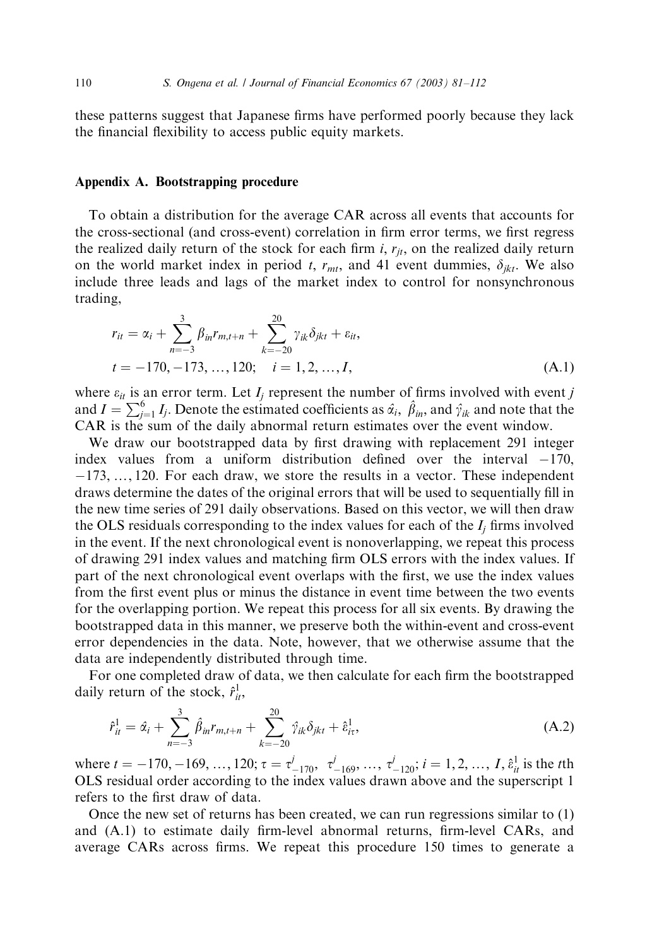these patterns suggest that Japanese firms have performed poorly because they lack the financial flexibility to access public equity markets.

# Appendix A. Bootstrapping procedure

To obtain a distribution for the average CAR across all events that accounts for the cross-sectional (and cross-event) correlation in firm error terms, we first regress the realized daily return of the stock for each firm  $i, r_{it}$ , on the realized daily return on the world market index in period t,  $r_{mt}$ , and 41 event dummies,  $\delta_{ikt}$ . We also include three leads and lags of the market index to control for nonsynchronous trading,

$$
r_{it} = \alpha_i + \sum_{n=-3}^{3} \beta_{in} r_{m,t+n} + \sum_{k=-20}^{20} \gamma_{ik} \delta_{jkt} + \varepsilon_{it},
$$
  

$$
t = -170, -173, ..., 120; \quad i = 1, 2, ..., I,
$$
 (A.1)

where  $\varepsilon_{it}$  is an error term. Let  $I_j$  represent the number of firms involved with event j and  $I = \sum_{j=1}^{6} I_j$ . Denote the estimated coefficients as  $\hat{\alpha}_i$ ,  $\hat{\beta}_{in}$ , and  $\hat{\gamma}_{ik}$  and note that the CAR is the sum of the daily abnormal return estimates over the event window.

We draw our bootstrapped data by first drawing with replacement 291 integer index values from a uniform distribution defined over the interval  $-170$ ,  $-173, \ldots, 120$ . For each draw, we store the results in a vector. These independent draws determine the dates of the original errors that will be used to sequentially fill in the new time series of 291 daily observations. Based on this vector, we will then draw the OLS residuals corresponding to the index values for each of the  $I_i$  firms involved in the event. If the next chronological event is nonoverlapping, we repeat this process of drawing 291 index values and matching firm OLS errors with the index values. If part of the next chronological event overlaps with the first, we use the index values from the first event plus or minus the distance in event time between the two events for the overlapping portion. We repeat this process for all six events. By drawing the bootstrapped data in this manner, we preserve both the within-event and cross-event error dependencies in the data. Note, however, that we otherwise assume that the data are independently distributed through time.

For one completed draw of data, we then calculate for each firm the bootstrapped daily return of the stock,  $\hat{r}_{it}^1$ ,

$$
\hat{r}_{it}^{1} = \hat{\alpha}_{i} + \sum_{n=-3}^{3} \hat{\beta}_{in} r_{m,t+n} + \sum_{k=-20}^{20} \hat{\gamma}_{ik} \delta_{jkt} + \hat{\epsilon}_{it}^{1},
$$
\n(A.2)

where  $t = -170, -169, ..., 120; \tau = \tau_{-170}^j, \tau_{-169}^j, ..., \tau_{-120}^j; i = 1, 2, ..., I$ ,  $\hat{\epsilon}_{it}^1$  is the *t*th OLS residual order according to the index values drawn above and the superscript 1 refers to the first draw of data.

Once the new set of returns has been created, we can run regressions similar to (1) and (A.1) to estimate daily firm-level abnormal returns, firm-level CARs, and average CARs across firms. We repeat this procedure 150 times to generate a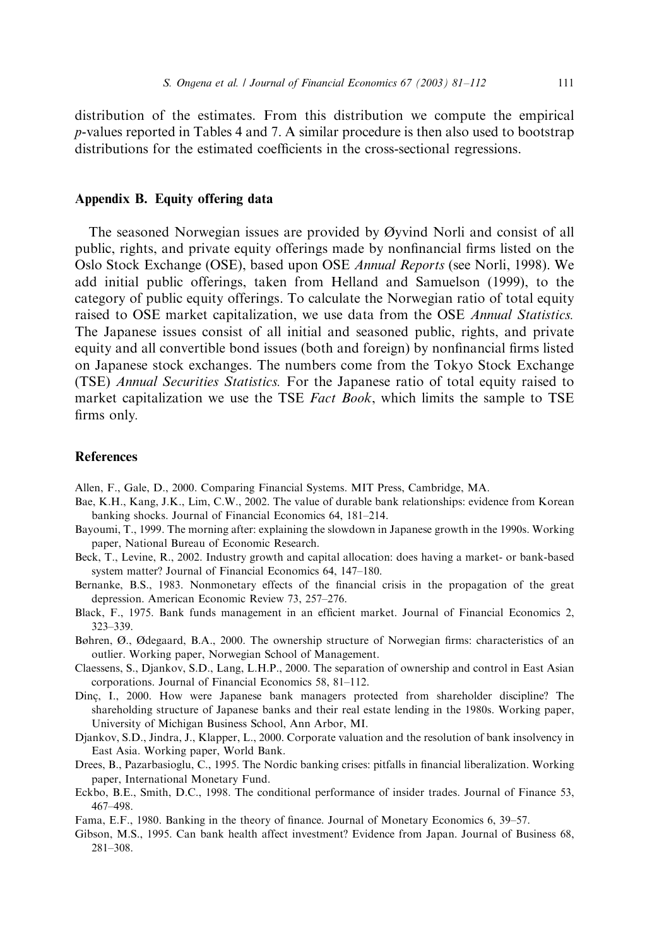distribution of the estimates. From this distribution we compute the empirical p-values reported in Tables 4 and 7. A similar procedure is then also used to bootstrap distributions for the estimated coefficients in the cross-sectional regressions.

# Appendix B. Equity offering data

The seasoned Norwegian issues are provided by Øyvind Norli and consist of all public, rights, and private equity offerings made by nonfinancial firms listed on the Oslo Stock Exchange (OSE), based upon OSE Annual Reports (see Norli, 1998). We add initial public offerings, taken from Helland and Samuelson (1999), to the category of public equity offerings. To calculate the Norwegian ratio of total equity raised to OSE market capitalization, we use data from the OSE Annual Statistics. The Japanese issues consist of all initial and seasoned public, rights, and private equity and all convertible bond issues (both and foreign) by nonfinancial firms listed on Japanese stock exchanges. The numbers come from the Tokyo Stock Exchange (TSE) Annual Securities Statistics. For the Japanese ratio of total equity raised to market capitalization we use the TSE *Fact Book*, which limits the sample to TSE firms only.

# References

Allen, F., Gale, D., 2000. Comparing Financial Systems. MIT Press, Cambridge, MA.

- Bae, K.H., Kang, J.K., Lim, C.W., 2002. The value of durable bank relationships: evidence from Korean banking shocks. Journal of Financial Economics 64, 181–214.
- Bayoumi, T., 1999. The morning after: explaining the slowdown in Japanese growth in the 1990s. Working paper, National Bureau of Economic Research.
- Beck, T., Levine, R., 2002. Industry growth and capital allocation: does having a market- or bank-based system matter? Journal of Financial Economics 64, 147–180.
- Bernanke, B.S., 1983. Nonmonetary effects of the financial crisis in the propagation of the great depression. American Economic Review 73, 257–276.
- Black, F., 1975. Bank funds management in an efficient market. Journal of Financial Economics 2, 323–339.
- Bøhren, Ø., Ødegaard, B.A., 2000. The ownership structure of Norwegian firms: characteristics of an outlier. Working paper, Norwegian School of Management.
- Claessens, S., Djankov, S.D., Lang, L.H.P., 2000. The separation of ownership and control in East Asian corporations. Journal of Financial Economics 58, 81–112.
- Dinc, I., 2000. How were Japanese bank managers protected from shareholder discipline? The shareholding structure of Japanese banks and their real estate lending in the 1980s. Working paper, University of Michigan Business School, Ann Arbor, MI.
- Djankov, S.D., Jindra, J., Klapper, L., 2000. Corporate valuation and the resolution of bank insolvency in East Asia. Working paper, World Bank.
- Drees, B., Pazarbasioglu, C., 1995. The Nordic banking crises: pitfalls in financial liberalization. Working paper, International Monetary Fund.
- Eckbo, B.E., Smith, D.C., 1998. The conditional performance of insider trades. Journal of Finance 53, 467–498.
- Fama, E.F., 1980. Banking in the theory of finance. Journal of Monetary Economics 6, 39–57.
- Gibson, M.S., 1995. Can bank health affect investment? Evidence from Japan. Journal of Business 68, 281–308.